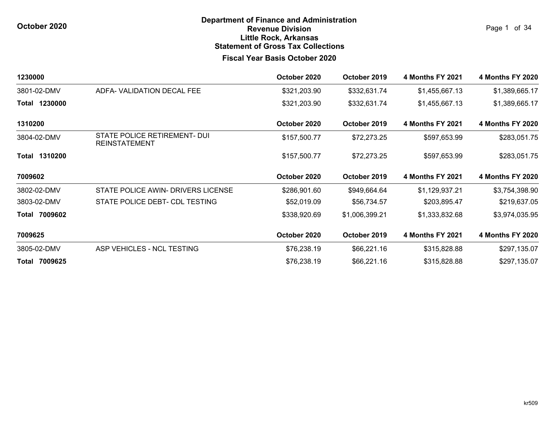Page 1 of 34

| 1230000       |                                                      | October 2020 | October 2019   | <b>4 Months FY 2021</b> | <b>4 Months FY 2020</b> |
|---------------|------------------------------------------------------|--------------|----------------|-------------------------|-------------------------|
| 3801-02-DMV   | ADFA-VALIDATION DECAL FEE                            | \$321,203.90 | \$332,631.74   | \$1,455,667.13          | \$1,389,665.17          |
| Total 1230000 |                                                      | \$321,203.90 | \$332,631.74   | \$1,455,667.13          | \$1,389,665.17          |
| 1310200       |                                                      | October 2020 | October 2019   | <b>4 Months FY 2021</b> | <b>4 Months FY 2020</b> |
| 3804-02-DMV   | STATE POLICE RETIREMENT- DUI<br><b>REINSTATEMENT</b> | \$157,500.77 | \$72,273.25    | \$597,653.99            | \$283,051.75            |
| Total 1310200 |                                                      | \$157,500.77 | \$72,273.25    | \$597,653.99            | \$283,051.75            |
| 7009602       |                                                      | October 2020 | October 2019   | <b>4 Months FY 2021</b> | <b>4 Months FY 2020</b> |
| 3802-02-DMV   | STATE POLICE AWIN- DRIVERS LICENSE                   | \$286,901.60 | \$949,664.64   | \$1,129,937.21          | \$3,754,398.90          |
| 3803-02-DMV   | STATE POLICE DEBT- CDL TESTING                       | \$52,019.09  | \$56,734.57    | \$203,895.47            | \$219,637.05            |
| Total 7009602 |                                                      | \$338,920.69 | \$1,006,399.21 | \$1,333,832.68          | \$3,974,035.95          |
| 7009625       |                                                      | October 2020 | October 2019   | <b>4 Months FY 2021</b> | <b>4 Months FY 2020</b> |
| 3805-02-DMV   | ASP VEHICLES - NCL TESTING                           | \$76,238.19  | \$66,221.16    | \$315,828.88            | \$297,135.07            |
| Total 7009625 |                                                      | \$76,238.19  | \$66,221.16    | \$315,828.88            | \$297,135.07            |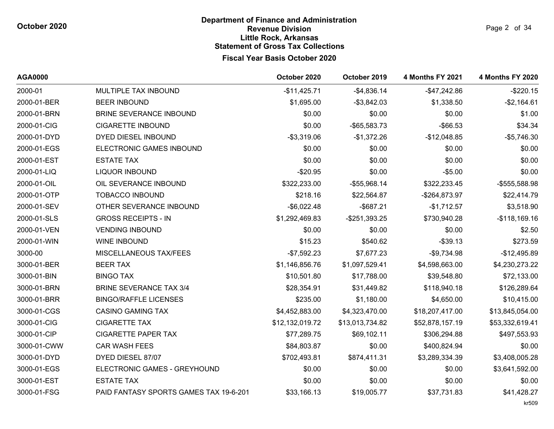| AGA0000     |                                        | October 2020    | October 2019    | <b>4 Months FY 2021</b> | <b>4 Months FY 2020</b> |
|-------------|----------------------------------------|-----------------|-----------------|-------------------------|-------------------------|
| 2000-01     | MULTIPLE TAX INBOUND                   | $-$11,425.71$   | $-$4,836.14$    | $-$47,242.86$           | $-$220.15$              |
| 2000-01-BER | <b>BEER INBOUND</b>                    | \$1,695.00      | $-$ \$3,842.03  | \$1,338.50              | $-$2,164.61$            |
| 2000-01-BRN | <b>BRINE SEVERANCE INBOUND</b>         | \$0.00          | \$0.00          | \$0.00                  | \$1.00                  |
| 2000-01-CIG | <b>CIGARETTE INBOUND</b>               | \$0.00          | -\$65,583.73    | $-$ \$66.53             | \$34.34                 |
| 2000-01-DYD | DYED DIESEL INBOUND                    | $-$ \$3,319.06  | $-$1,372.26$    | $-$12,048.85$           | $-$5,746.30$            |
| 2000-01-EGS | ELECTRONIC GAMES INBOUND               | \$0.00          | \$0.00          | \$0.00                  | \$0.00                  |
| 2000-01-EST | <b>ESTATE TAX</b>                      | \$0.00          | \$0.00          | \$0.00                  | \$0.00                  |
| 2000-01-LIQ | <b>LIQUOR INBOUND</b>                  | $-$20.95$       | \$0.00          | $-$5.00$                | \$0.00                  |
| 2000-01-OIL | OIL SEVERANCE INBOUND                  | \$322,233.00    | -\$55,968.14    | \$322,233.45            | -\$555,588.98           |
| 2000-01-OTP | <b>TOBACCO INBOUND</b>                 | \$218.16        | \$22,564.87     | -\$264,873.97           | \$22,414.79             |
| 2000-01-SEV | OTHER SEVERANCE INBOUND                | $-$6,022.48$    | $-$ \$687.21    | $-$1,712.57$            | \$3,518.90              |
| 2000-01-SLS | <b>GROSS RECEIPTS - IN</b>             | \$1,292,469.83  | -\$251,393.25   | \$730,940.28            | $-$118,169.16$          |
| 2000-01-VEN | <b>VENDING INBOUND</b>                 | \$0.00          | \$0.00          | \$0.00                  | \$2.50                  |
| 2000-01-WIN | <b>WINE INBOUND</b>                    | \$15.23         | \$540.62        | $-$ \$39.13             | \$273.59                |
| 3000-00     | MISCELLANEOUS TAX/FEES                 | $-$7,592.23$    | \$7,677.23      | $-$9,734.98$            | $-$12,495.89$           |
| 3000-01-BER | <b>BEER TAX</b>                        | \$1,146,856.76  | \$1,097,529.41  | \$4,598,663.00          | \$4,230,273.22          |
| 3000-01-BIN | <b>BINGO TAX</b>                       | \$10,501.80     | \$17,788.00     | \$39,548.80             | \$72,133.00             |
| 3000-01-BRN | <b>BRINE SEVERANCE TAX 3/4</b>         | \$28,354.91     | \$31,449.82     | \$118,940.18            | \$126,289.64            |
| 3000-01-BRR | <b>BINGO/RAFFLE LICENSES</b>           | \$235.00        | \$1,180.00      | \$4,650.00              | \$10,415.00             |
| 3000-01-CGS | <b>CASINO GAMING TAX</b>               | \$4,452,883.00  | \$4,323,470.00  | \$18,207,417.00         | \$13,845,054.00         |
| 3000-01-CIG | <b>CIGARETTE TAX</b>                   | \$12,132,019.72 | \$13,013,734.82 | \$52,878,157.19         | \$53,332,619.41         |
| 3000-01-CIP | <b>CIGARETTE PAPER TAX</b>             | \$77,289.75     | \$69,102.11     | \$306,294.88            | \$497,553.93            |
| 3000-01-CWW | <b>CAR WASH FEES</b>                   | \$84,803.87     | \$0.00          | \$400,824.94            | \$0.00                  |
| 3000-01-DYD | DYED DIESEL 87/07                      | \$702,493.81    | \$874,411.31    | \$3,289,334.39          | \$3,408,005.28          |
| 3000-01-EGS | ELECTRONIC GAMES - GREYHOUND           | \$0.00          | \$0.00          | \$0.00                  | \$3,641,592.00          |
| 3000-01-EST | <b>ESTATE TAX</b>                      | \$0.00          | \$0.00          | \$0.00                  | \$0.00                  |
| 3000-01-FSG | PAID FANTASY SPORTS GAMES TAX 19-6-201 | \$33,166.13     | \$19,005.77     | \$37,731.83             | \$41,428.27             |

kr509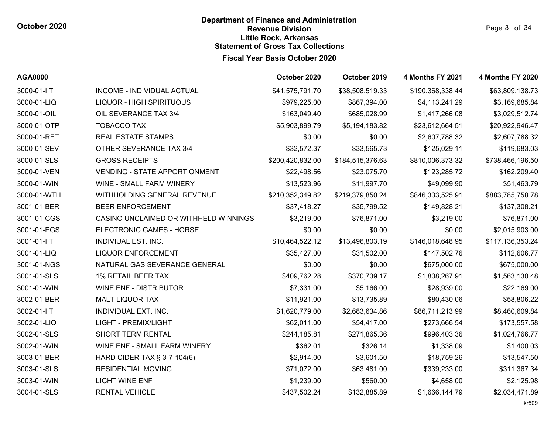**AGA0000 October 2020 October 2019 4 Months FY 2021 4 Months FY 2020** 3000-01-IIT INCOME - INDIVIDUAL ACTUAL \$41,575,791.70 \$38,508,519.33 \$190,368,338.44 \$63,809,138.73 3000-01-LIQ LIQUOR - HIGH SPIRITUOUS \$979,225.00 \$867,394.00 \$4,113,241.29 \$3,169,685.84 3000-01-OIL OIL SEVERANCE TAX 3/4 \$163,049.40 \$685,028.99 \$1,417,266.08 \$3,029,512.74 3000-01-OTP TOBACCO TAX \$5,903,899.79 \$5,194,183.82 \$23,612,664.51 \$20,922,946.47 3000-01-RET REAL ESTATE STAMPS \$0.00 \$0.00 \$2,607,788.32 \$2,607,788.32 3000-01-SEV OTHER SEVERANCE TAX 3/4 \$32,572.37 \$33,565.73 \$125,029.11 \$119,683.03 3000-01-SLS GROSS RECEIPTS \$200,420,832.00 \$184,515,376.63 \$810,006,373.32 \$738,466,196.50 3000-01-VEN VENDING - STATE APPORTIONMENT \$22,498.56 \$23,075.70 \$123,285.72 \$162,209.40 3000-01-WIN WINE - SMALL FARM WINERY \$13,523.96 \$11,997.70 \$49,099.90 \$51,463.79 3000-01-WTH WITHHOLDING GENERAL REVENUE \$210,352,349.82 \$219,379,850.24 \$846,333,525.91 \$883,785,758.78 3001-01-BER BEER ENFORCEMENT \$37,418.27 \$35,799.52 \$149,828.21 \$137,308.21 3001-01-CGS CASINO UNCLAIMED OR WITHHELD WINNINGS \$3.219.00 \$76.871.00 \$3.219.00 \$76.871.00 3001-01-EGS ELECTRONIC GAMES - HORSE \$0.00 \$0.00 \$0.00 \$2,015,903.00 3001-01-IIT INDIVIUAL EST. INC. \$10,464,522.12 \$13,496,803.19 \$146,018,648.95 \$117,136,353.24 3001-01-LIQ LIQUOR ENFORCEMENT \$35,427.00 \$31,502.00 \$147,502.76 \$112,606.77 3001-01-NGS NATURAL GAS SEVERANCE GENERAL \$0.00 \$0.00 \$675,000.00 \$675,000.00 3001-01-SLS 1% RETAIL BEER TAX \$409,762.28 \$370,739.17 \$1,808,267.91 \$1,563,130.48 3001-01-WIN WINE ENF - DISTRIBUTOR \$7.331.00 \$5,166.00 \$28,939.00 \$22,169.00 3002-01-BER MALT LIQUOR TAX \$11,921.00 \$13,735.89 \$80,430.06 \$58,806.22 3002-01-IIT INDIVIDUAL EXT. INC. \$1,620,779.00 \$2,683,634.86 \$86,711,213.99 \$8,460,609.84 3002-01-LIQ LIGHT - PREMIX/LIGHT \$62,011.00 \$54,417.00 \$273,666.54 \$173,557.58 3002-01-SLS SHORT TERM RENTAL \$244,185.81 \$271,865.36 \$996,403.36 \$1,024,766.77 3002-01-WIN WINE ENF - SMALL FARM WINERY \$362.01 \$326.14 \$1,338.09 \$1,400.03 3003-01-BER HARD CIDER TAX § 3-7-104(6) \$2.914.00 \$3.601.50 \$18,759.26 \$13,547.50 3003-01-SLS RESIDENTIAL MOVING \$71,072.00 \$63,481.00 \$339,233.00 \$311,367.34 3003-01-WIN LIGHT WINE ENF \$1,239.00 \$560.00 \$4,658.00 \$2,125.98 3004-01-SLS RENTAL VEHICLE \$437,502.24 \$132,885.89 \$1,666,144.79 \$2,034,471.89

kr509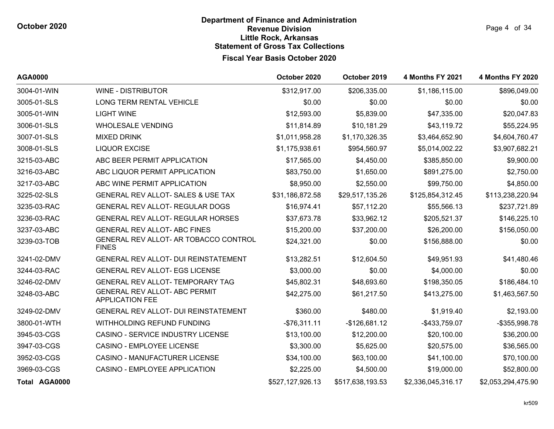Page 4 of 34

| <b>AGA0000</b>       |                                                                | October 2020     | October 2019     | <b>4 Months FY 2021</b> | <b>4 Months FY 2020</b> |
|----------------------|----------------------------------------------------------------|------------------|------------------|-------------------------|-------------------------|
| 3004-01-WIN          | <b>WINE - DISTRIBUTOR</b>                                      | \$312,917.00     | \$206,335.00     | \$1,186,115.00          | \$896,049.00            |
| 3005-01-SLS          | LONG TERM RENTAL VEHICLE                                       | \$0.00           | \$0.00           | \$0.00                  | \$0.00                  |
| 3005-01-WIN          | <b>LIGHT WINE</b>                                              | \$12,593.00      | \$5,839.00       | \$47,335.00             | \$20,047.83             |
| 3006-01-SLS          | <b>WHOLESALE VENDING</b>                                       | \$11,814.89      | \$10,181.29      | \$43,119.72             | \$55,224.95             |
| 3007-01-SLS          | <b>MIXED DRINK</b>                                             | \$1,011,958.28   | \$1,170,326.35   | \$3,464,652.90          | \$4,604,760.47          |
| 3008-01-SLS          | <b>LIQUOR EXCISE</b>                                           | \$1,175,938.61   | \$954,560.97     | \$5,014,002.22          | \$3,907,682.21          |
| 3215-03-ABC          | ABC BEER PERMIT APPLICATION                                    | \$17,565.00      | \$4,450.00       | \$385,850.00            | \$9,900.00              |
| 3216-03-ABC          | ABC LIQUOR PERMIT APPLICATION                                  | \$83,750.00      | \$1,650.00       | \$891,275.00            | \$2,750.00              |
| 3217-03-ABC          | ABC WINE PERMIT APPLICATION                                    | \$8,950.00       | \$2,550.00       | \$99,750.00             | \$4,850.00              |
| 3225-02-SLS          | GENERAL REV ALLOT- SALES & USE TAX                             | \$31,186,872.58  | \$29,517,135.26  | \$125,854,312.45        | \$113,238,220.94        |
| 3235-03-RAC          | GENERAL REV ALLOT- REGULAR DOGS                                | \$16,974.41      | \$57,112.20      | \$55,566.13             | \$237,721.89            |
| 3236-03-RAC          | <b>GENERAL REV ALLOT- REGULAR HORSES</b>                       | \$37,673.78      | \$33,962.12      | \$205,521.37            | \$146,225.10            |
| 3237-03-ABC          | <b>GENERAL REV ALLOT- ABC FINES</b>                            | \$15,200.00      | \$37,200.00      | \$26,200.00             | \$156,050.00            |
| 3239-03-TOB          | GENERAL REV ALLOT- AR TOBACCO CONTROL<br><b>FINES</b>          | \$24,321.00      | \$0.00           | \$156,888.00            | \$0.00                  |
| 3241-02-DMV          | GENERAL REV ALLOT- DUI REINSTATEMENT                           | \$13,282.51      | \$12,604.50      | \$49,951.93             | \$41,480.46             |
| 3244-03-RAC          | <b>GENERAL REV ALLOT- EGS LICENSE</b>                          | \$3,000.00       | \$0.00           | \$4,000.00              | \$0.00                  |
| 3246-02-DMV          | GENERAL REV ALLOT- TEMPORARY TAG                               | \$45,802.31      | \$48,693.60      | \$198,350.05            | \$186,484.10            |
| 3248-03-ABC          | <b>GENERAL REV ALLOT- ABC PERMIT</b><br><b>APPLICATION FEE</b> | \$42,275.00      | \$61,217.50      | \$413,275.00            | \$1,463,567.50          |
| 3249-02-DMV          | <b>GENERAL REV ALLOT- DUI REINSTATEMENT</b>                    | \$360.00         | \$480.00         | \$1,919.40              | \$2,193.00              |
| 3800-01-WTH          | WITHHOLDING REFUND FUNDING                                     | $-$76,311.11$    | $-$126,681.12$   | -\$433,759.07           | -\$355,998.78           |
| 3945-03-CGS          | CASINO - SERVICE INDUSTRY LICENSE                              | \$13,100.00      | \$12,200.00      | \$20,100.00             | \$36,200.00             |
| 3947-03-CGS          | <b>CASINO - EMPLOYEE LICENSE</b>                               | \$3,300.00       | \$5,625.00       | \$20,575.00             | \$36,565.00             |
| 3952-03-CGS          | <b>CASINO - MANUFACTURER LICENSE</b>                           | \$34,100.00      | \$63,100.00      | \$41,100.00             | \$70,100.00             |
| 3969-03-CGS          | CASINO - EMPLOYEE APPLICATION                                  | \$2,225.00       | \$4,500.00       | \$19,000.00             | \$52,800.00             |
| <b>Total AGA0000</b> |                                                                | \$527,127,926.13 | \$517,638,193.53 | \$2,336,045,316.17      | \$2,053,294,475.90      |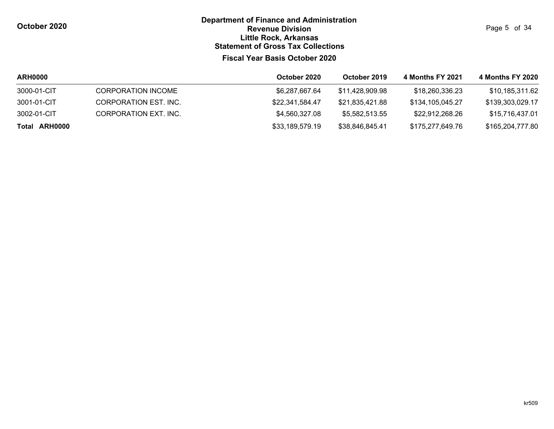Page 5 of 34

| <b>ARH0000</b> |                       | October 2020    | October 2019    | 4 Months FY 2021 | 4 Months FY 2020 |
|----------------|-----------------------|-----------------|-----------------|------------------|------------------|
| 3000-01-CIT    | CORPORATION INCOME    | \$6,287,667.64  | \$11.428.909.98 | \$18,260,336,23  | \$10,185,311.62  |
| 3001-01-CIT    | CORPORATION EST. INC. | \$22,341,584.47 | \$21,835,421.88 | \$134,105,045.27 | \$139,303,029.17 |
| 3002-01-CIT    | CORPORATION EXT. INC. | \$4,560,327.08  | \$5,582,513.55  | \$22,912,268.26  | \$15,716,437.01  |
| Total ARH0000  |                       | \$33,189,579.19 | \$38,846,845.41 | \$175,277,649.76 | \$165,204,777.80 |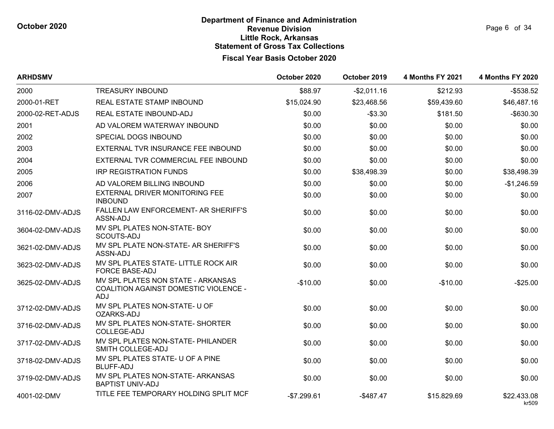| <b>ARHDSMV</b>   |                                                                                                  | October 2020 | October 2019 | <b>4 Months FY 2021</b> | <b>4 Months FY 2020</b> |
|------------------|--------------------------------------------------------------------------------------------------|--------------|--------------|-------------------------|-------------------------|
| 2000             | <b>TREASURY INBOUND</b>                                                                          | \$88.97      | $-$2,011.16$ | \$212.93                | $-$ \$538.52            |
| 2000-01-RET      | REAL ESTATE STAMP INBOUND                                                                        | \$15,024.90  | \$23,468.56  | \$59,439.60             | \$46,487.16             |
| 2000-02-RET-ADJS | REAL ESTATE INBOUND-ADJ                                                                          | \$0.00       | $-$ \$3.30   | \$181.50                | $-$630.30$              |
| 2001             | AD VALOREM WATERWAY INBOUND                                                                      | \$0.00       | \$0.00       | \$0.00                  | \$0.00                  |
| 2002             | SPECIAL DOGS INBOUND                                                                             | \$0.00       | \$0.00       | \$0.00                  | \$0.00                  |
| 2003             | EXTERNAL TVR INSURANCE FEE INBOUND                                                               | \$0.00       | \$0.00       | \$0.00                  | \$0.00                  |
| 2004             | EXTERNAL TVR COMMERCIAL FEE INBOUND                                                              | \$0.00       | \$0.00       | \$0.00                  | \$0.00                  |
| 2005             | <b>IRP REGISTRATION FUNDS</b>                                                                    | \$0.00       | \$38,498.39  | \$0.00                  | \$38,498.39             |
| 2006             | AD VALOREM BILLING INBOUND                                                                       | \$0.00       | \$0.00       | \$0.00                  | $-$1,246.59$            |
| 2007             | EXTERNAL DRIVER MONITORING FEE<br><b>INBOUND</b>                                                 | \$0.00       | \$0.00       | \$0.00                  | \$0.00                  |
| 3116-02-DMV-ADJS | FALLEN LAW ENFORCEMENT- AR SHERIFF'S<br>ASSN-ADJ                                                 | \$0.00       | \$0.00       | \$0.00                  | \$0.00                  |
| 3604-02-DMV-ADJS | MV SPL PLATES NON-STATE- BOY<br>SCOUTS-ADJ                                                       | \$0.00       | \$0.00       | \$0.00                  | \$0.00                  |
| 3621-02-DMV-ADJS | MV SPL PLATE NON-STATE- AR SHERIFF'S<br>ASSN-ADJ                                                 | \$0.00       | \$0.00       | \$0.00                  | \$0.00                  |
| 3623-02-DMV-ADJS | MV SPL PLATES STATE- LITTLE ROCK AIR<br><b>FORCE BASE-ADJ</b>                                    | \$0.00       | \$0.00       | \$0.00                  | \$0.00                  |
| 3625-02-DMV-ADJS | MV SPL PLATES NON STATE - ARKANSAS<br><b>COALITION AGAINST DOMESTIC VIOLENCE -</b><br><b>ADJ</b> | $-$10.00$    | \$0.00       | $-$10.00$               | $-$25.00$               |
| 3712-02-DMV-ADJS | MV SPL PLATES NON-STATE- U OF<br>OZARKS-ADJ                                                      | \$0.00       | \$0.00       | \$0.00                  | \$0.00                  |
| 3716-02-DMV-ADJS | MV SPL PLATES NON-STATE- SHORTER<br>COLLEGE-ADJ                                                  | \$0.00       | \$0.00       | \$0.00                  | \$0.00                  |
| 3717-02-DMV-ADJS | MV SPL PLATES NON-STATE- PHILANDER<br>SMITH COLLEGE-ADJ                                          | \$0.00       | \$0.00       | \$0.00                  | \$0.00                  |
| 3718-02-DMV-ADJS | MV SPL PLATES STATE- U OF A PINE<br><b>BLUFF-ADJ</b>                                             | \$0.00       | \$0.00       | \$0.00                  | \$0.00                  |
| 3719-02-DMV-ADJS | MV SPL PLATES NON-STATE- ARKANSAS<br><b>BAPTIST UNIV-ADJ</b>                                     | \$0.00       | \$0.00       | \$0.00                  | \$0.00                  |
| 4001-02-DMV      | TITLE FEE TEMPORARY HOLDING SPLIT MCF                                                            | $-$7.299.61$ | $-$487.47$   | \$15.829.69             | \$22.433.08<br>kr509    |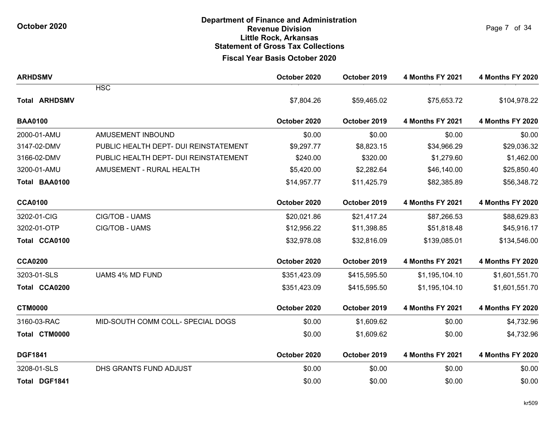**October 2020**

# **Fiscal Year Basis October 2020 Department of Finance and Administration Revenue Division Little Rock, Arkansas Statement of Gross Tax Collections**

Page 7 of 34

| <b>ARHDSMV</b>       |                                       | October 2020 | October 2019 | <b>4 Months FY 2021</b> | <b>4 Months FY 2020</b> |
|----------------------|---------------------------------------|--------------|--------------|-------------------------|-------------------------|
|                      | <b>HSC</b>                            |              |              |                         |                         |
| <b>Total ARHDSMV</b> |                                       | \$7,804.26   | \$59,465.02  | \$75,653.72             | \$104,978.22            |
| <b>BAA0100</b>       |                                       | October 2020 | October 2019 | <b>4 Months FY 2021</b> | <b>4 Months FY 2020</b> |
| 2000-01-AMU          | AMUSEMENT INBOUND                     | \$0.00       | \$0.00       | \$0.00                  | \$0.00                  |
| 3147-02-DMV          | PUBLIC HEALTH DEPT- DUI REINSTATEMENT | \$9,297.77   | \$8,823.15   | \$34,966.29             | \$29,036.32             |
| 3166-02-DMV          | PUBLIC HEALTH DEPT- DUI REINSTATEMENT | \$240.00     | \$320.00     | \$1,279.60              | \$1,462.00              |
| 3200-01-AMU          | AMUSEMENT - RURAL HEALTH              | \$5,420.00   | \$2,282.64   | \$46,140.00             | \$25,850.40             |
| Total BAA0100        |                                       | \$14,957.77  | \$11,425.79  | \$82,385.89             | \$56,348.72             |
| <b>CCA0100</b>       |                                       | October 2020 | October 2019 | <b>4 Months FY 2021</b> | <b>4 Months FY 2020</b> |
| 3202-01-CIG          | CIG/TOB - UAMS                        | \$20,021.86  | \$21,417.24  | \$87,266.53             | \$88,629.83             |
| 3202-01-OTP          | CIG/TOB - UAMS                        | \$12,956.22  | \$11,398.85  | \$51,818.48             | \$45,916.17             |
| Total CCA0100        |                                       | \$32,978.08  | \$32,816.09  | \$139,085.01            | \$134,546.00            |
| <b>CCA0200</b>       |                                       | October 2020 | October 2019 | <b>4 Months FY 2021</b> | <b>4 Months FY 2020</b> |
| 3203-01-SLS          | <b>UAMS 4% MD FUND</b>                | \$351,423.09 | \$415,595.50 | \$1,195,104.10          | \$1,601,551.70          |
| Total CCA0200        |                                       | \$351,423.09 | \$415,595.50 | \$1,195,104.10          | \$1,601,551.70          |
| <b>CTM0000</b>       |                                       | October 2020 | October 2019 | <b>4 Months FY 2021</b> | <b>4 Months FY 2020</b> |
| 3160-03-RAC          | MID-SOUTH COMM COLL- SPECIAL DOGS     | \$0.00       | \$1,609.62   | \$0.00                  | \$4,732.96              |
| Total CTM0000        |                                       | \$0.00       | \$1,609.62   | \$0.00                  | \$4,732.96              |
| <b>DGF1841</b>       |                                       | October 2020 | October 2019 | <b>4 Months FY 2021</b> | <b>4 Months FY 2020</b> |
| 3208-01-SLS          | DHS GRANTS FUND ADJUST                | \$0.00       | \$0.00       | \$0.00                  | \$0.00                  |
| Total DGF1841        |                                       | \$0.00       | \$0.00       | \$0.00                  | \$0.00                  |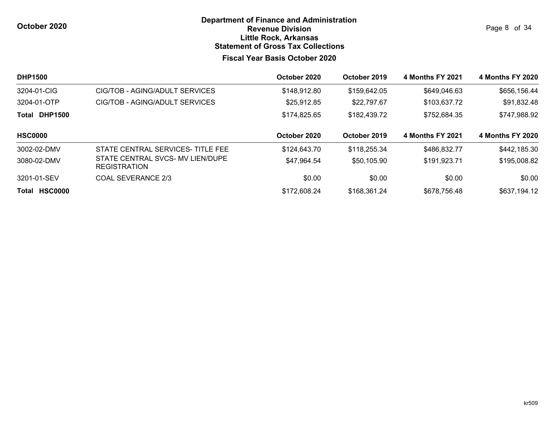**October 2020**

### **Fiscal Year Basis October 2020 Department of Finance and Administration Revenue Division Little Rock, Arkansas Statement of Gross Tax Collections**

Page 8 of 34

| <b>DHP1500</b>          |                                                         | October 2020 | October 2019 | 4 Months FY 2021        | 4 Months FY 2020        |
|-------------------------|---------------------------------------------------------|--------------|--------------|-------------------------|-------------------------|
| 3204-01-CIG             | CIG/TOB - AGING/ADULT SERVICES                          | \$148,912.80 | \$159,642.05 | \$649,046.63            | \$656,156.44            |
| 3204-01-OTP             | CIG/TOB - AGING/ADULT SERVICES                          | \$25,912.85  | \$22,797.67  | \$103,637.72            | \$91,832.48             |
| <b>DHP1500</b><br>Total |                                                         | \$174,825.65 | \$182,439.72 | \$752,684.35            | \$747,988.92            |
| <b>HSC0000</b>          |                                                         | October 2020 | October 2019 | <b>4 Months FY 2021</b> | <b>4 Months FY 2020</b> |
| 3002-02-DMV             | STATE CENTRAL SERVICES-TITLE FEE                        | \$124,643.70 | \$118,255.34 | \$486,832.77            | \$442,185.30            |
| 3080-02-DMV             | STATE CENTRAL SVCS- MV LIEN/DUPE<br><b>REGISTRATION</b> | \$47,964.54  | \$50,105.90  | \$191,923.71            | \$195,008.82            |
| 3201-01-SEV             | COAL SEVERANCE 2/3                                      | \$0.00       | \$0.00       | \$0.00                  | \$0.00                  |
| <b>HSC0000</b><br>Total |                                                         | \$172,608.24 | \$168,361.24 | \$678,756.48            | \$637,194.12            |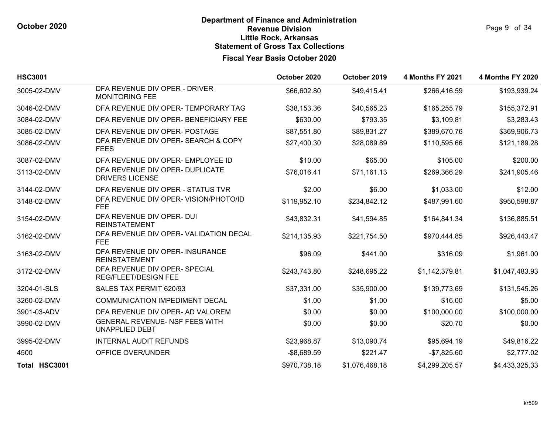| <b>HSC3001</b> |                                                              | October 2020 | October 2019   | <b>4 Months FY 2021</b> | <b>4 Months FY 2020</b> |
|----------------|--------------------------------------------------------------|--------------|----------------|-------------------------|-------------------------|
| 3005-02-DMV    | DFA REVENUE DIV OPER - DRIVER<br><b>MONITORING FEE</b>       | \$66,602.80  | \$49,415.41    | \$266,416.59            | \$193,939.24            |
| 3046-02-DMV    | DFA REVENUE DIV OPER- TEMPORARY TAG                          | \$38,153.36  | \$40,565.23    | \$165,255.79            | \$155,372.91            |
| 3084-02-DMV    | DFA REVENUE DIV OPER- BENEFICIARY FEE                        | \$630.00     | \$793.35       | \$3,109.81              | \$3,283.43              |
| 3085-02-DMV    | DFA REVENUE DIV OPER- POSTAGE                                | \$87,551.80  | \$89,831.27    | \$389,670.76            | \$369,906.73            |
| 3086-02-DMV    | DFA REVENUE DIV OPER- SEARCH & COPY<br><b>FEES</b>           | \$27,400.30  | \$28,089.89    | \$110,595.66            | \$121,189.28            |
| 3087-02-DMV    | DFA REVENUE DIV OPER- EMPLOYEE ID                            | \$10.00      | \$65.00        | \$105.00                | \$200.00                |
| 3113-02-DMV    | DFA REVENUE DIV OPER- DUPLICATE<br><b>DRIVERS LICENSE</b>    | \$76,016.41  | \$71,161.13    | \$269,366.29            | \$241,905.46            |
| 3144-02-DMV    | DFA REVENUE DIV OPER - STATUS TVR                            | \$2.00       | \$6.00         | \$1,033.00              | \$12.00                 |
| 3148-02-DMV    | DFA REVENUE DIV OPER- VISION/PHOTO/ID<br><b>FEE</b>          | \$119,952.10 | \$234,842.12   | \$487,991.60            | \$950,598.87            |
| 3154-02-DMV    | DFA REVENUE DIV OPER- DUI<br><b>REINSTATEMENT</b>            | \$43,832.31  | \$41,594.85    | \$164,841.34            | \$136,885.51            |
| 3162-02-DMV    | DFA REVENUE DIV OPER- VALIDATION DECAL<br><b>FEE</b>         | \$214,135.93 | \$221,754.50   | \$970,444.85            | \$926,443.47            |
| 3163-02-DMV    | DFA REVENUE DIV OPER- INSURANCE<br><b>REINSTATEMENT</b>      | \$96.09      | \$441.00       | \$316.09                | \$1,961.00              |
| 3172-02-DMV    | DFA REVENUE DIV OPER- SPECIAL<br><b>REG/FLEET/DESIGN FEE</b> | \$243,743.80 | \$248,695.22   | \$1,142,379.81          | \$1,047,483.93          |
| 3204-01-SLS    | SALES TAX PERMIT 620/93                                      | \$37,331.00  | \$35,900.00    | \$139,773.69            | \$131,545.26            |
| 3260-02-DMV    | <b>COMMUNICATION IMPEDIMENT DECAL</b>                        | \$1.00       | \$1.00         | \$16.00                 | \$5.00                  |
| 3901-03-ADV    | DFA REVENUE DIV OPER- AD VALOREM                             | \$0.00       | \$0.00         | \$100,000.00            | \$100,000.00            |
| 3990-02-DMV    | GENERAL REVENUE- NSF FEES WITH<br><b>UNAPPLIED DEBT</b>      | \$0.00       | \$0.00         | \$20.70                 | \$0.00                  |
| 3995-02-DMV    | <b>INTERNAL AUDIT REFUNDS</b>                                | \$23,968.87  | \$13,090.74    | \$95,694.19             | \$49,816.22             |
| 4500           | OFFICE OVER/UNDER                                            | $-$8,689.59$ | \$221.47       | $-$7,825.60$            | \$2,777.02              |
| Total HSC3001  |                                                              | \$970,738.18 | \$1,076,468.18 | \$4,299,205.57          | \$4,433,325.33          |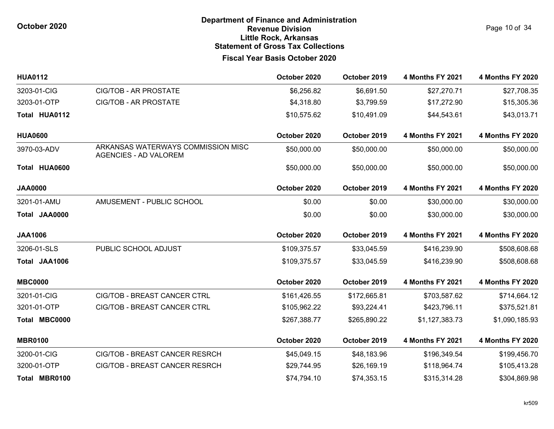Page 10 of 34

| <b>HUA0112</b> |                                                                    | October 2020 | October 2019 | <b>4 Months FY 2021</b> | <b>4 Months FY 2020</b> |
|----------------|--------------------------------------------------------------------|--------------|--------------|-------------------------|-------------------------|
| 3203-01-CIG    | <b>CIG/TOB - AR PROSTATE</b>                                       | \$6,256.82   | \$6,691.50   | \$27,270.71             | \$27,708.35             |
| 3203-01-OTP    | <b>CIG/TOB - AR PROSTATE</b>                                       | \$4,318.80   | \$3,799.59   | \$17,272.90             | \$15,305.36             |
| Total HUA0112  |                                                                    | \$10,575.62  | \$10,491.09  | \$44,543.61             | \$43,013.71             |
| <b>HUA0600</b> |                                                                    | October 2020 | October 2019 | <b>4 Months FY 2021</b> | <b>4 Months FY 2020</b> |
| 3970-03-ADV    | ARKANSAS WATERWAYS COMMISSION MISC<br><b>AGENCIES - AD VALOREM</b> | \$50,000.00  | \$50,000.00  | \$50,000.00             | \$50,000.00             |
| Total HUA0600  |                                                                    | \$50,000.00  | \$50,000.00  | \$50,000.00             | \$50,000.00             |
| <b>JAA0000</b> |                                                                    | October 2020 | October 2019 | <b>4 Months FY 2021</b> | <b>4 Months FY 2020</b> |
| 3201-01-AMU    | AMUSEMENT - PUBLIC SCHOOL                                          | \$0.00       | \$0.00       | \$30,000.00             | \$30,000.00             |
| Total JAA0000  |                                                                    | \$0.00       | \$0.00       | \$30,000.00             | \$30,000.00             |
| <b>JAA1006</b> |                                                                    | October 2020 | October 2019 | <b>4 Months FY 2021</b> | <b>4 Months FY 2020</b> |
| 3206-01-SLS    | PUBLIC SCHOOL ADJUST                                               | \$109,375.57 | \$33,045.59  | \$416,239.90            | \$508,608.68            |
| Total JAA1006  |                                                                    | \$109,375.57 | \$33,045.59  | \$416,239.90            | \$508,608.68            |
| <b>MBC0000</b> |                                                                    | October 2020 | October 2019 | <b>4 Months FY 2021</b> | <b>4 Months FY 2020</b> |
| 3201-01-CIG    | CIG/TOB - BREAST CANCER CTRL                                       | \$161,426.55 | \$172,665.81 | \$703,587.62            | \$714,664.12            |
| 3201-01-OTP    | CIG/TOB - BREAST CANCER CTRL                                       | \$105,962.22 | \$93,224.41  | \$423,796.11            | \$375,521.81            |
| Total MBC0000  |                                                                    | \$267,388.77 | \$265,890.22 | \$1,127,383.73          | \$1,090,185.93          |
| <b>MBR0100</b> |                                                                    | October 2020 | October 2019 | <b>4 Months FY 2021</b> | <b>4 Months FY 2020</b> |
| 3200-01-CIG    | CIG/TOB - BREAST CANCER RESRCH                                     | \$45,049.15  | \$48,183.96  | \$196,349.54            | \$199,456.70            |
| 3200-01-OTP    | CIG/TOB - BREAST CANCER RESRCH                                     | \$29,744.95  | \$26,169.19  | \$118,964.74            | \$105,413.28            |
| Total MBR0100  |                                                                    | \$74,794.10  | \$74,353.15  | \$315,314.28            | \$304,869.98            |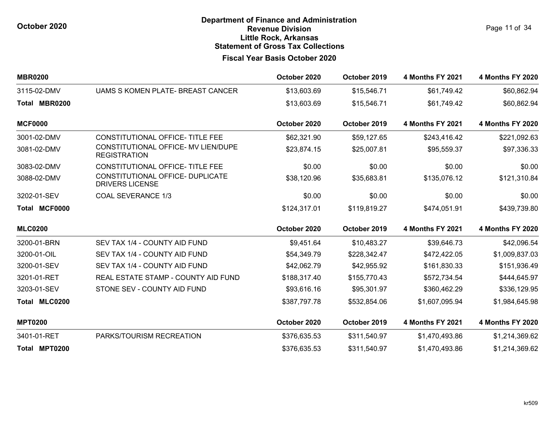Page 11 of 34

| <b>MBR0200</b> |                                                            | October 2020 | October 2019 | <b>4 Months FY 2021</b> | <b>4 Months FY 2020</b> |
|----------------|------------------------------------------------------------|--------------|--------------|-------------------------|-------------------------|
| 3115-02-DMV    | UAMS S KOMEN PLATE- BREAST CANCER                          | \$13,603.69  | \$15,546.71  | \$61,749.42             | \$60,862.94             |
| Total MBR0200  |                                                            | \$13,603.69  | \$15,546.71  | \$61,749.42             | \$60,862.94             |
| <b>MCF0000</b> |                                                            | October 2020 | October 2019 | <b>4 Months FY 2021</b> | <b>4 Months FY 2020</b> |
| 3001-02-DMV    | CONSTITUTIONAL OFFICE- TITLE FEE                           | \$62,321.90  | \$59,127.65  | \$243,416.42            | \$221,092.63            |
| 3081-02-DMV    | CONSTITUTIONAL OFFICE- MV LIEN/DUPE<br><b>REGISTRATION</b> | \$23,874.15  | \$25,007.81  | \$95,559.37             | \$97,336.33             |
| 3083-02-DMV    | CONSTITUTIONAL OFFICE- TITLE FEE                           | \$0.00       | \$0.00       | \$0.00                  | \$0.00                  |
| 3088-02-DMV    | CONSTITUTIONAL OFFICE- DUPLICATE<br><b>DRIVERS LICENSE</b> | \$38,120.96  | \$35,683.81  | \$135,076.12            | \$121,310.84            |
| 3202-01-SEV    | <b>COAL SEVERANCE 1/3</b>                                  | \$0.00       | \$0.00       | \$0.00                  | \$0.00                  |
| Total MCF0000  |                                                            | \$124,317.01 | \$119,819.27 | \$474,051.91            | \$439,739.80            |
| <b>MLC0200</b> |                                                            | October 2020 | October 2019 | <b>4 Months FY 2021</b> | <b>4 Months FY 2020</b> |
| 3200-01-BRN    | SEV TAX 1/4 - COUNTY AID FUND                              | \$9,451.64   | \$10,483.27  | \$39,646.73             | \$42,096.54             |
| 3200-01-OIL    | SEV TAX 1/4 - COUNTY AID FUND                              | \$54,349.79  | \$228,342.47 | \$472,422.05            | \$1,009,837.03          |
| 3200-01-SEV    | SEV TAX 1/4 - COUNTY AID FUND                              | \$42,062.79  | \$42,955.92  | \$161,830.33            | \$151,936.49            |
| 3201-01-RET    | REAL ESTATE STAMP - COUNTY AID FUND                        | \$188,317.40 | \$155,770.43 | \$572,734.54            | \$444,645.97            |
| 3203-01-SEV    | STONE SEV - COUNTY AID FUND                                | \$93,616.16  | \$95,301.97  | \$360,462.29            | \$336,129.95            |
| Total MLC0200  |                                                            | \$387,797.78 | \$532,854.06 | \$1,607,095.94          | \$1,984,645.98          |
| <b>MPT0200</b> |                                                            | October 2020 | October 2019 | <b>4 Months FY 2021</b> | <b>4 Months FY 2020</b> |
| 3401-01-RET    | PARKS/TOURISM RECREATION                                   | \$376,635.53 | \$311,540.97 | \$1,470,493.86          | \$1,214,369.62          |
| Total MPT0200  |                                                            | \$376,635.53 | \$311,540.97 | \$1,470,493.86          | \$1,214,369.62          |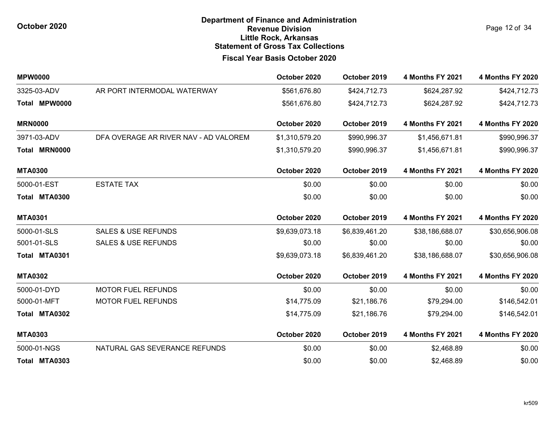Page 12 of 34

| <b>MPW0000</b> |                                       | October 2020   | October 2019   | <b>4 Months FY 2021</b> | <b>4 Months FY 2020</b> |
|----------------|---------------------------------------|----------------|----------------|-------------------------|-------------------------|
| 3325-03-ADV    | AR PORT INTERMODAL WATERWAY           | \$561,676.80   | \$424,712.73   | \$624,287.92            | \$424,712.73            |
| Total MPW0000  |                                       | \$561,676.80   | \$424,712.73   | \$624,287.92            | \$424,712.73            |
| <b>MRN0000</b> |                                       | October 2020   | October 2019   | 4 Months FY 2021        | <b>4 Months FY 2020</b> |
| 3971-03-ADV    | DFA OVERAGE AR RIVER NAV - AD VALOREM | \$1,310,579.20 | \$990,996.37   | \$1,456,671.81          | \$990,996.37            |
| Total MRN0000  |                                       | \$1,310,579.20 | \$990,996.37   | \$1,456,671.81          | \$990,996.37            |
| <b>MTA0300</b> |                                       | October 2020   | October 2019   | <b>4 Months FY 2021</b> | <b>4 Months FY 2020</b> |
| 5000-01-EST    | <b>ESTATE TAX</b>                     | \$0.00         | \$0.00         | \$0.00                  | \$0.00                  |
| Total MTA0300  |                                       | \$0.00         | \$0.00         | \$0.00                  | \$0.00                  |
| <b>MTA0301</b> |                                       | October 2020   | October 2019   | 4 Months FY 2021        | <b>4 Months FY 2020</b> |
| 5000-01-SLS    | <b>SALES &amp; USE REFUNDS</b>        | \$9,639,073.18 | \$6,839,461.20 | \$38,186,688.07         | \$30,656,906.08         |
| 5001-01-SLS    | <b>SALES &amp; USE REFUNDS</b>        | \$0.00         | \$0.00         | \$0.00                  | \$0.00                  |
| Total MTA0301  |                                       | \$9,639,073.18 | \$6,839,461.20 | \$38,186,688.07         | \$30,656,906.08         |
| <b>MTA0302</b> |                                       | October 2020   | October 2019   | <b>4 Months FY 2021</b> | 4 Months FY 2020        |
| 5000-01-DYD    | <b>MOTOR FUEL REFUNDS</b>             | \$0.00         | \$0.00         | \$0.00                  | \$0.00                  |
| 5000-01-MFT    | <b>MOTOR FUEL REFUNDS</b>             | \$14,775.09    | \$21,186.76    | \$79,294.00             | \$146,542.01            |
| Total MTA0302  |                                       | \$14,775.09    | \$21,186.76    | \$79,294.00             | \$146,542.01            |
| <b>MTA0303</b> |                                       | October 2020   | October 2019   | 4 Months FY 2021        | <b>4 Months FY 2020</b> |
| 5000-01-NGS    | NATURAL GAS SEVERANCE REFUNDS         | \$0.00         | \$0.00         | \$2,468.89              | \$0.00                  |
| Total MTA0303  |                                       | \$0.00         | \$0.00         | \$2,468.89              | \$0.00                  |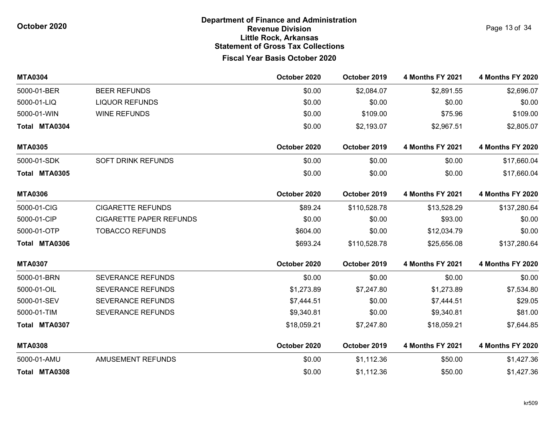| <b>MTA0304</b> |                                | October 2020 | October 2019 | <b>4 Months FY 2021</b> | <b>4 Months FY 2020</b> |
|----------------|--------------------------------|--------------|--------------|-------------------------|-------------------------|
| 5000-01-BER    | <b>BEER REFUNDS</b>            | \$0.00       | \$2,084.07   | \$2,891.55              | \$2,696.07              |
| 5000-01-LIQ    | <b>LIQUOR REFUNDS</b>          | \$0.00       | \$0.00       | \$0.00                  | \$0.00                  |
| 5000-01-WIN    | <b>WINE REFUNDS</b>            | \$0.00       | \$109.00     | \$75.96                 | \$109.00                |
| Total MTA0304  |                                | \$0.00       | \$2,193.07   | \$2,967.51              | \$2,805.07              |
| <b>MTA0305</b> |                                | October 2020 | October 2019 | <b>4 Months FY 2021</b> | <b>4 Months FY 2020</b> |
| 5000-01-SDK    | SOFT DRINK REFUNDS             | \$0.00       | \$0.00       | \$0.00                  | \$17,660.04             |
| Total MTA0305  |                                | \$0.00       | \$0.00       | \$0.00                  | \$17,660.04             |
| <b>MTA0306</b> |                                | October 2020 | October 2019 | <b>4 Months FY 2021</b> | <b>4 Months FY 2020</b> |
| 5000-01-CIG    | <b>CIGARETTE REFUNDS</b>       | \$89.24      | \$110,528.78 | \$13,528.29             | \$137,280.64            |
| 5000-01-CIP    | <b>CIGARETTE PAPER REFUNDS</b> | \$0.00       | \$0.00       | \$93.00                 | \$0.00                  |
| 5000-01-OTP    | <b>TOBACCO REFUNDS</b>         | \$604.00     | \$0.00       | \$12,034.79             | \$0.00                  |
| Total MTA0306  |                                | \$693.24     | \$110,528.78 | \$25,656.08             | \$137,280.64            |
| <b>MTA0307</b> |                                | October 2020 | October 2019 | <b>4 Months FY 2021</b> | <b>4 Months FY 2020</b> |
| 5000-01-BRN    | <b>SEVERANCE REFUNDS</b>       | \$0.00       | \$0.00       | \$0.00                  | \$0.00                  |
| 5000-01-OIL    | <b>SEVERANCE REFUNDS</b>       | \$1,273.89   | \$7,247.80   | \$1,273.89              | \$7,534.80              |
| 5000-01-SEV    | <b>SEVERANCE REFUNDS</b>       | \$7,444.51   | \$0.00       | \$7,444.51              | \$29.05                 |
| 5000-01-TIM    | <b>SEVERANCE REFUNDS</b>       | \$9,340.81   | \$0.00       | \$9,340.81              | \$81.00                 |
| Total MTA0307  |                                | \$18,059.21  | \$7,247.80   | \$18,059.21             | \$7,644.85              |
| <b>MTA0308</b> |                                | October 2020 | October 2019 | <b>4 Months FY 2021</b> | <b>4 Months FY 2020</b> |
| 5000-01-AMU    | <b>AMUSEMENT REFUNDS</b>       | \$0.00       | \$1,112.36   | \$50.00                 | \$1,427.36              |
| Total MTA0308  |                                | \$0.00       | \$1,112.36   | \$50.00                 | \$1,427.36              |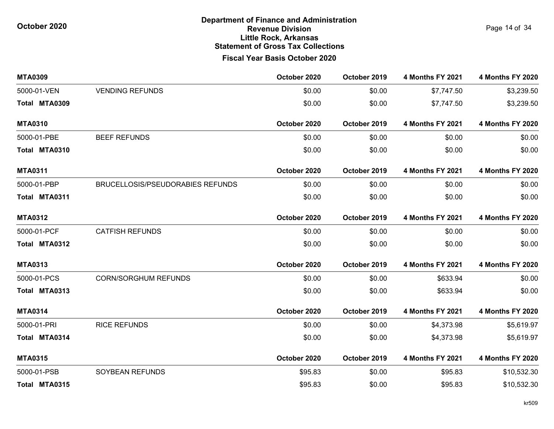**MTA0309 October 2020 October 2019 4 Months FY 2021 4 Months FY 2020** 5000-01-VEN VENDING REFUNDS \$0.00 \$0.00 \$7,747.50 \$3,239.50 **Total MTA0309** \$0.00 \$0.00 \$7,747.50 \$3,239.50 **MTA0310 October 2020 October 2019 4 Months FY 2021 4 Months FY 2020** 5000-01-PBE BEEF REFUNDS \$0.00 \$0.00 \$0.00 \$0.00 **Total MTA0310** \$0.00 \$0.00 \$0.00 \$0.00 **MTA0311 October 2020 October 2019 4 Months FY 2021 4 Months FY 2020** 5000-01-PBP BRUCELLOSIS/PSEUDORABIES REFUNDS \$0.00 \$0.00 \$0.00 \$0.00 **Total MTA0311** \$0.00 \$0.00 \$0.00 \$0.00 **MTA0312 October 2020 October 2019 4 Months FY 2021 4 Months FY 2020** 5000-01-PCF CATFISH REFUNDS \$0.00 \$0.00 \$0.00 \$0.00 **Total MTA0312** \$0.00 \$0.00 \$0.00 \$0.00 **MTA0313 October 2020 October 2019 4 Months FY 2021 4 Months FY 2020** 5000-01-PCS CORN/SORGHUM REFUNDS \$0.00 \$0.00 \$633.94 \$0.00 **Total MTA0313** \$0.00 \$0.00 \$633.94 \$0.00 **MTA0314 October 2020 October 2019 4 Months FY 2021 4 Months FY 2020** 5000-01-PRI RICE REFUNDS \$0.00 \$0.00 \$4,373.98 \$5,619.97 **Total MTA0314** \$0.00 \$0.00 \$4,373.98 \$5,619.97 **MTA0315 October 2020 October 2019 4 Months FY 2021 4 Months FY 2020** 5000-01-PSB SOYBEAN REFUNDS \$95.83 \$0.00 \$95.83 \$10,532.30 **Total MTA0315** \$95.83 \$0.00 \$95.83 \$10,532.30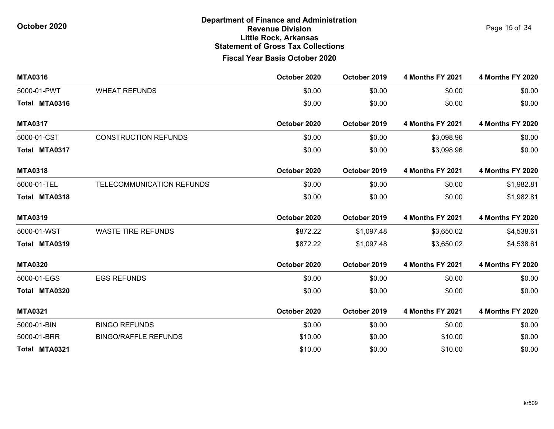**MTA0316 October 2020 October 2019 4 Months FY 2021 4 Months FY 2020** 5000-01-PWT WHEAT REFUNDS \$0.00 \$0.00 \$0.00 \$0.00 **Total MTA0316** \$0.00 \$0.00 \$0.00 \$0.00 **MTA0317 October 2020 October 2019 4 Months FY 2021 4 Months FY 2020** 5000-01-CST CONSTRUCTION REFUNDS \$0.00 \$0.00 \$3,098.96 \$0.00 **Total MTA0317** \$0.00 \$0.00 \$3,098.96 \$0.00 **MTA0318 October 2020 October 2019 4 Months FY 2021 4 Months FY 2020** 5000-01-TEL TELECOMMUNICATION REFUNDS \$0.00 \$0.00 \$0.00 \$1,982.81 **Total MTA0318** \$0.00 \$0.00 \$0.00 \$1,982.81 **MTA0319 October 2020 October 2019 4 Months FY 2021 4 Months FY 2020** 5000-01-WST WASTE TIRE REFUNDS \$872.22 \$1,097.48 \$3,650.02 \$4,538.61 **Total MTA0319** \$872.22 \$1,097.48 \$3,650.02 \$4,538.61 **MTA0320 October 2020 October 2019 4 Months FY 2021 4 Months FY 2020** 5000-01-EGS EGS REFUNDS \$0.00 \$0.00 \$0.00 \$0.00 **Total MTA0320** \$0.00 \$0.00 \$0.00 \$0.00 **MTA0321 October 2020 October 2019 4 Months FY 2021 4 Months FY 2020** 5000-01-BIN BINGO REFUNDS \$0.00 \$0.00 \$0.00 \$0.00 5000-01-BRR BINGO/RAFFLE REFUNDS \$10.00 \$0.00 \$10.00 \$0.00 **Total MTA0321** \$10.00 \$0.00 \$10.00 \$0.00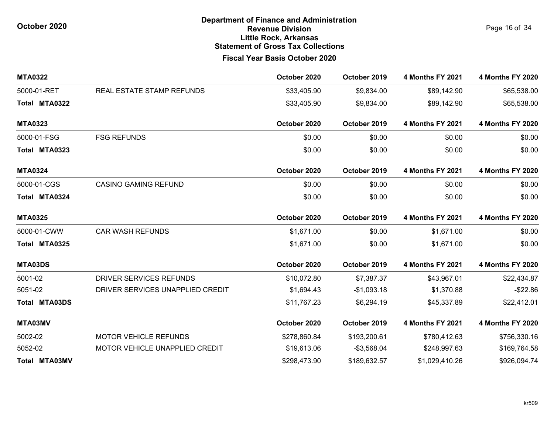Page 16 of 34

| <b>MTA0322</b>       |                                  | October 2020 | October 2019 | <b>4 Months FY 2021</b> | <b>4 Months FY 2020</b> |
|----------------------|----------------------------------|--------------|--------------|-------------------------|-------------------------|
| 5000-01-RET          | REAL ESTATE STAMP REFUNDS        | \$33,405.90  | \$9,834.00   | \$89,142.90             | \$65,538.00             |
| Total MTA0322        |                                  | \$33,405.90  | \$9,834.00   | \$89,142.90             | \$65,538.00             |
| <b>MTA0323</b>       |                                  | October 2020 | October 2019 | <b>4 Months FY 2021</b> | <b>4 Months FY 2020</b> |
| 5000-01-FSG          | <b>FSG REFUNDS</b>               | \$0.00       | \$0.00       | \$0.00                  | \$0.00                  |
| Total MTA0323        |                                  | \$0.00       | \$0.00       | \$0.00                  | \$0.00                  |
| <b>MTA0324</b>       |                                  | October 2020 | October 2019 | <b>4 Months FY 2021</b> | 4 Months FY 2020        |
| 5000-01-CGS          | <b>CASINO GAMING REFUND</b>      | \$0.00       | \$0.00       | \$0.00                  | \$0.00                  |
| Total MTA0324        |                                  | \$0.00       | \$0.00       | \$0.00                  | \$0.00                  |
| <b>MTA0325</b>       |                                  | October 2020 | October 2019 | <b>4 Months FY 2021</b> | <b>4 Months FY 2020</b> |
| 5000-01-CWW          | <b>CAR WASH REFUNDS</b>          | \$1,671.00   | \$0.00       | \$1,671.00              | \$0.00                  |
| Total MTA0325        |                                  | \$1,671.00   | \$0.00       | \$1,671.00              | \$0.00                  |
| MTA03DS              |                                  | October 2020 | October 2019 | <b>4 Months FY 2021</b> | <b>4 Months FY 2020</b> |
| 5001-02              | DRIVER SERVICES REFUNDS          | \$10,072.80  | \$7,387.37   | \$43,967.01             | \$22,434.87             |
| 5051-02              | DRIVER SERVICES UNAPPLIED CREDIT | \$1,694.43   | $-$1,093.18$ | \$1,370.88              | $-$22.86$               |
| <b>Total MTA03DS</b> |                                  | \$11,767.23  | \$6,294.19   | \$45,337.89             | \$22,412.01             |
| MTA03MV              |                                  | October 2020 | October 2019 | <b>4 Months FY 2021</b> | <b>4 Months FY 2020</b> |
| 5002-02              | <b>MOTOR VEHICLE REFUNDS</b>     | \$278,860.84 | \$193,200.61 | \$780,412.63            | \$756,330.16            |
| 5052-02              | MOTOR VEHICLE UNAPPLIED CREDIT   | \$19,613.06  | $-$3,568.04$ | \$248,997.63            | \$169,764.58            |
| Total MTA03MV        |                                  | \$298,473.90 | \$189,632.57 | \$1,029,410.26          | \$926,094.74            |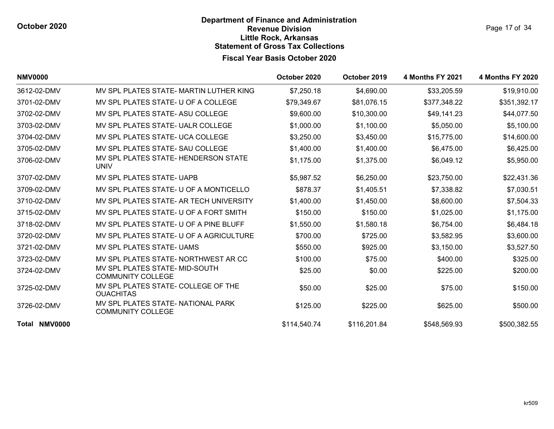| Page 17 of 34 |  |  |
|---------------|--|--|
|               |  |  |

| <b>NMV0000</b> |                                                                | October 2020 | October 2019 | 4 Months FY 2021 | <b>4 Months FY 2020</b> |
|----------------|----------------------------------------------------------------|--------------|--------------|------------------|-------------------------|
| 3612-02-DMV    | MV SPL PLATES STATE- MARTIN LUTHER KING                        | \$7,250.18   | \$4,690.00   | \$33,205.59      | \$19,910.00             |
| 3701-02-DMV    | MV SPL PLATES STATE- U OF A COLLEGE                            | \$79,349.67  | \$81,076.15  | \$377,348.22     | \$351,392.17            |
| 3702-02-DMV    | MV SPL PLATES STATE- ASU COLLEGE                               | \$9,600.00   | \$10,300.00  | \$49,141.23      | \$44,077.50             |
| 3703-02-DMV    | MV SPL PLATES STATE- UALR COLLEGE                              | \$1,000.00   | \$1,100.00   | \$5,050.00       | \$5,100.00              |
| 3704-02-DMV    | MV SPL PLATES STATE- UCA COLLEGE                               | \$3,250.00   | \$3,450.00   | \$15,775.00      | \$14,600.00             |
| 3705-02-DMV    | MV SPL PLATES STATE- SAU COLLEGE                               | \$1,400.00   | \$1,400.00   | \$6,475.00       | \$6,425.00              |
| 3706-02-DMV    | MV SPL PLATES STATE- HENDERSON STATE<br><b>UNIV</b>            | \$1,175.00   | \$1,375.00   | \$6,049.12       | \$5,950.00              |
| 3707-02-DMV    | MV SPL PLATES STATE- UAPB                                      | \$5,987.52   | \$6,250.00   | \$23,750.00      | \$22,431.36             |
| 3709-02-DMV    | MV SPL PLATES STATE- U OF A MONTICELLO                         | \$878.37     | \$1,405.51   | \$7,338.82       | \$7,030.51              |
| 3710-02-DMV    | MV SPL PLATES STATE- AR TECH UNIVERSITY                        | \$1,400.00   | \$1,450.00   | \$8,600.00       | \$7,504.33              |
| 3715-02-DMV    | MV SPL PLATES STATE- U OF A FORT SMITH                         | \$150.00     | \$150.00     | \$1,025.00       | \$1,175.00              |
| 3718-02-DMV    | MV SPL PLATES STATE- U OF A PINE BLUFF                         | \$1,550.00   | \$1,580.18   | \$6,754.00       | \$6,484.18              |
| 3720-02-DMV    | MV SPL PLATES STATE- U OF A AGRICULTURE                        | \$700.00     | \$725.00     | \$3,582.95       | \$3,600.00              |
| 3721-02-DMV    | MV SPL PLATES STATE- UAMS                                      | \$550.00     | \$925.00     | \$3,150.00       | \$3,527.50              |
| 3723-02-DMV    | MV SPL PLATES STATE- NORTHWEST AR CC                           | \$100.00     | \$75.00      | \$400.00         | \$325.00                |
| 3724-02-DMV    | MV SPL PLATES STATE- MID-SOUTH<br><b>COMMUNITY COLLEGE</b>     | \$25.00      | \$0.00       | \$225.00         | \$200.00                |
| 3725-02-DMV    | MV SPL PLATES STATE- COLLEGE OF THE<br><b>OUACHITAS</b>        | \$50.00      | \$25.00      | \$75.00          | \$150.00                |
| 3726-02-DMV    | MV SPL PLATES STATE- NATIONAL PARK<br><b>COMMUNITY COLLEGE</b> | \$125.00     | \$225.00     | \$625.00         | \$500.00                |
| Total NMV0000  |                                                                | \$114,540.74 | \$116,201.84 | \$548,569.93     | \$500,382.55            |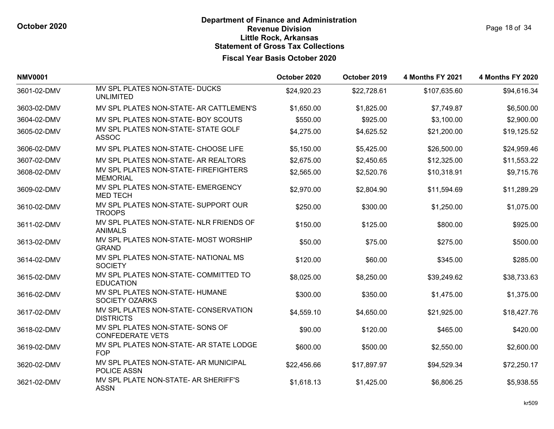| <b>NMV0001</b> |                                                             | October 2020 | October 2019 | <b>4 Months FY 2021</b> | <b>4 Months FY 2020</b> |
|----------------|-------------------------------------------------------------|--------------|--------------|-------------------------|-------------------------|
| 3601-02-DMV    | MV SPL PLATES NON-STATE- DUCKS<br><b>UNLIMITED</b>          | \$24,920.23  | \$22,728.61  | \$107,635.60            | \$94,616.34             |
| 3603-02-DMV    | MV SPL PLATES NON-STATE- AR CATTLEMEN'S                     | \$1,650.00   | \$1,825.00   | \$7,749.87              | \$6,500.00              |
| 3604-02-DMV    | MV SPL PLATES NON-STATE- BOY SCOUTS                         | \$550.00     | \$925.00     | \$3,100.00              | \$2,900.00              |
| 3605-02-DMV    | MV SPL PLATES NON-STATE- STATE GOLF<br><b>ASSOC</b>         | \$4,275.00   | \$4,625.52   | \$21,200.00             | \$19,125.52             |
| 3606-02-DMV    | MV SPL PLATES NON-STATE- CHOOSE LIFE                        | \$5,150.00   | \$5,425.00   | \$26,500.00             | \$24,959.46             |
| 3607-02-DMV    | MV SPL PLATES NON-STATE- AR REALTORS                        | \$2,675.00   | \$2,450.65   | \$12,325.00             | \$11,553.22             |
| 3608-02-DMV    | MV SPL PLATES NON-STATE- FIREFIGHTERS<br><b>MEMORIAL</b>    | \$2,565.00   | \$2,520.76   | \$10,318.91             | \$9,715.76              |
| 3609-02-DMV    | MV SPL PLATES NON-STATE- EMERGENCY<br><b>MED TECH</b>       | \$2,970.00   | \$2,804.90   | \$11,594.69             | \$11,289.29             |
| 3610-02-DMV    | MV SPL PLATES NON-STATE- SUPPORT OUR<br><b>TROOPS</b>       | \$250.00     | \$300.00     | \$1,250.00              | \$1,075.00              |
| 3611-02-DMV    | MV SPL PLATES NON-STATE- NLR FRIENDS OF<br><b>ANIMALS</b>   | \$150.00     | \$125.00     | \$800.00                | \$925.00                |
| 3613-02-DMV    | MV SPL PLATES NON-STATE- MOST WORSHIP<br><b>GRAND</b>       | \$50.00      | \$75.00      | \$275.00                | \$500.00                |
| 3614-02-DMV    | MV SPL PLATES NON-STATE- NATIONAL MS<br><b>SOCIETY</b>      | \$120.00     | \$60.00      | \$345.00                | \$285.00                |
| 3615-02-DMV    | MV SPL PLATES NON-STATE- COMMITTED TO<br><b>EDUCATION</b>   | \$8,025.00   | \$8,250.00   | \$39,249.62             | \$38,733.63             |
| 3616-02-DMV    | MV SPL PLATES NON-STATE- HUMANE<br>SOCIETY OZARKS           | \$300.00     | \$350.00     | \$1,475.00              | \$1,375.00              |
| 3617-02-DMV    | MV SPL PLATES NON-STATE- CONSERVATION<br><b>DISTRICTS</b>   | \$4,559.10   | \$4,650.00   | \$21,925.00             | \$18,427.76             |
| 3618-02-DMV    | MV SPL PLATES NON-STATE- SONS OF<br><b>CONFEDERATE VETS</b> | \$90.00      | \$120.00     | \$465.00                | \$420.00                |
| 3619-02-DMV    | MV SPL PLATES NON-STATE- AR STATE LODGE<br><b>FOP</b>       | \$600.00     | \$500.00     | \$2,550.00              | \$2,600.00              |
| 3620-02-DMV    | MV SPL PLATES NON-STATE- AR MUNICIPAL<br>POLICE ASSN        | \$22,456.66  | \$17,897.97  | \$94,529.34             | \$72,250.17             |
| 3621-02-DMV    | MV SPL PLATE NON-STATE- AR SHERIFF'S<br><b>ASSN</b>         | \$1,618.13   | \$1,425.00   | \$6,806.25              | \$5,938.55              |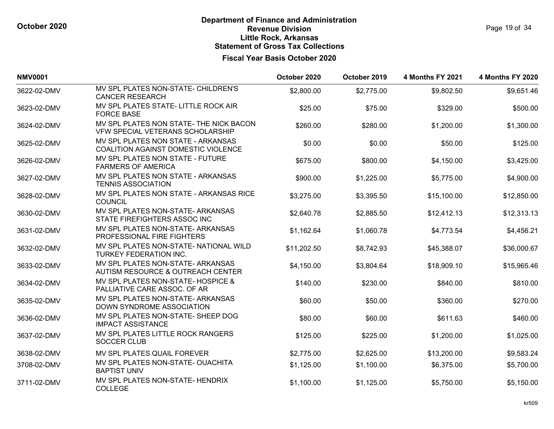| <b>NMV0001</b> |                                                                             | October 2020 | October 2019 | <b>4 Months FY 2021</b> | <b>4 Months FY 2020</b> |
|----------------|-----------------------------------------------------------------------------|--------------|--------------|-------------------------|-------------------------|
| 3622-02-DMV    | MV SPL PLATES NON-STATE- CHILDREN'S<br><b>CANCER RESEARCH</b>               | \$2,800.00   | \$2,775.00   | \$9,802.50              | \$9,651.46              |
| 3623-02-DMV    | MV SPL PLATES STATE- LITTLE ROCK AIR<br><b>FORCE BASE</b>                   | \$25.00      | \$75.00      | \$329.00                | \$500.00                |
| 3624-02-DMV    | MV SPL PLATES NON STATE- THE NICK BACON<br>VFW SPECIAL VETERANS SCHOLARSHIP | \$260.00     | \$280.00     | \$1,200.00              | \$1,300.00              |
| 3625-02-DMV    | MV SPL PLATES NON STATE - ARKANSAS<br>COALITION AGAINST DOMESTIC VIOLENCE   | \$0.00       | \$0.00       | \$50.00                 | \$125.00                |
| 3626-02-DMV    | MV SPL PLATES NON STATE - FUTURE<br><b>FARMERS OF AMERICA</b>               | \$675.00     | \$800.00     | \$4,150.00              | \$3,425.00              |
| 3627-02-DMV    | MV SPL PLATES NON STATE - ARKANSAS<br><b>TENNIS ASSOCIATION</b>             | \$900.00     | \$1,225.00   | \$5,775.00              | \$4,900.00              |
| 3628-02-DMV    | MV SPL PLATES NON STATE - ARKANSAS RICE<br><b>COUNCIL</b>                   | \$3,275.00   | \$3,395.50   | \$15,100.00             | \$12,850.00             |
| 3630-02-DMV    | MV SPL PLATES NON-STATE- ARKANSAS<br>STATE FIREFIGHTERS ASSOC INC           | \$2,640.78   | \$2,885.50   | \$12,412.13             | \$12,313.13             |
| 3631-02-DMV    | MV SPL PLATES NON-STATE- ARKANSAS<br>PROFESSIONAL FIRE FIGHTERS             | \$1,162.64   | \$1,060.78   | \$4,773.54              | \$4,456.21              |
| 3632-02-DMV    | MV SPL PLATES NON-STATE- NATIONAL WILD<br>TURKEY FEDERATION INC.            | \$11,202.50  | \$8,742.93   | \$45,388.07             | \$36,000.67             |
| 3633-02-DMV    | MV SPL PLATES NON-STATE- ARKANSAS<br>AUTISM RESOURCE & OUTREACH CENTER      | \$4,150.00   | \$3,804.64   | \$18,909.10             | \$15,965.46             |
| 3634-02-DMV    | MV SPL PLATES NON-STATE- HOSPICE &<br>PALLIATIVE CARE ASSOC. OF AR          | \$140.00     | \$230.00     | \$840.00                | \$810.00                |
| 3635-02-DMV    | MV SPL PLATES NON-STATE- ARKANSAS<br>DOWN SYNDROME ASSOCIATION              | \$60.00      | \$50.00      | \$360.00                | \$270.00                |
| 3636-02-DMV    | MV SPL PLATES NON-STATE- SHEEP DOG<br><b>IMPACT ASSISTANCE</b>              | \$80.00      | \$60.00      | \$611.63                | \$460.00                |
| 3637-02-DMV    | MV SPL PLATES LITTLE ROCK RANGERS<br><b>SOCCER CLUB</b>                     | \$125.00     | \$225.00     | \$1,200.00              | \$1,025.00              |
| 3638-02-DMV    | MV SPL PLATES QUAIL FOREVER                                                 | \$2,775.00   | \$2,625.00   | \$13,200.00             | \$9,583.24              |
| 3708-02-DMV    | MV SPL PLATES NON-STATE- OUACHITA<br><b>BAPTIST UNIV</b>                    | \$1,125.00   | \$1,100.00   | \$6,375.00              | \$5,700.00              |
| 3711-02-DMV    | MV SPL PLATES NON-STATE- HENDRIX<br><b>COLLEGE</b>                          | \$1,100.00   | \$1,125.00   | \$5,750.00              | \$5,150.00              |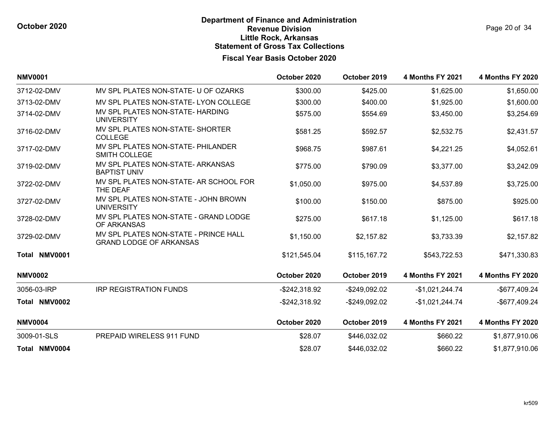| <b>NMV0001</b> |                                                                         | October 2020     | October 2019   | <b>4 Months FY 2021</b> | 4 Months FY 2020        |
|----------------|-------------------------------------------------------------------------|------------------|----------------|-------------------------|-------------------------|
| 3712-02-DMV    | MV SPL PLATES NON-STATE- U OF OZARKS                                    | \$300.00         | \$425.00       | \$1,625.00              | \$1,650.00              |
| 3713-02-DMV    | MV SPL PLATES NON-STATE-LYON COLLEGE                                    | \$300.00         | \$400.00       | \$1,925.00              | \$1,600.00              |
| 3714-02-DMV    | MV SPL PLATES NON-STATE- HARDING<br><b>UNIVERSITY</b>                   | \$575.00         | \$554.69       | \$3,450.00              | \$3,254.69              |
| 3716-02-DMV    | MV SPL PLATES NON-STATE- SHORTER<br><b>COLLEGE</b>                      | \$581.25         | \$592.57       | \$2,532.75              | \$2,431.57              |
| 3717-02-DMV    | MV SPL PLATES NON-STATE- PHILANDER<br><b>SMITH COLLEGE</b>              | \$968.75         | \$987.61       | \$4,221.25              | \$4,052.61              |
| 3719-02-DMV    | MV SPL PLATES NON-STATE- ARKANSAS<br><b>BAPTIST UNIV</b>                | \$775.00         | \$790.09       | \$3,377.00              | \$3,242.09              |
| 3722-02-DMV    | MV SPL PLATES NON-STATE- AR SCHOOL FOR<br>THE DEAF                      | \$1,050.00       | \$975.00       | \$4,537.89              | \$3,725.00              |
| 3727-02-DMV    | MV SPL PLATES NON-STATE - JOHN BROWN<br><b>UNIVERSITY</b>               | \$100.00         | \$150.00       | \$875.00                | \$925.00                |
| 3728-02-DMV    | MV SPL PLATES NON-STATE - GRAND LODGE<br>OF ARKANSAS                    | \$275.00         | \$617.18       | \$1,125.00              | \$617.18                |
| 3729-02-DMV    | MV SPL PLATES NON-STATE - PRINCE HALL<br><b>GRAND LODGE OF ARKANSAS</b> | \$1,150.00       | \$2,157.82     | \$3,733.39              | \$2,157.82              |
| Total NMV0001  |                                                                         | \$121,545.04     | \$115,167.72   | \$543,722.53            | \$471,330.83            |
| <b>NMV0002</b> |                                                                         | October 2020     | October 2019   | <b>4 Months FY 2021</b> | <b>4 Months FY 2020</b> |
| 3056-03-IRP    | <b>IRP REGISTRATION FUNDS</b>                                           | $-$242,318.92$   | -\$249,092.02  | $-$1,021,244.74$        | -\$677,409.24           |
| Total NMV0002  |                                                                         | $-$ \$242,318.92 | $-$249,092.02$ | -\$1,021,244.74         | -\$677,409.24           |
| <b>NMV0004</b> |                                                                         | October 2020     | October 2019   | <b>4 Months FY 2021</b> | <b>4 Months FY 2020</b> |
| 3009-01-SLS    | PREPAID WIRELESS 911 FUND                                               | \$28.07          | \$446,032.02   | \$660.22                | \$1,877,910.06          |
| Total NMV0004  |                                                                         | \$28.07          | \$446,032.02   | \$660.22                | \$1,877,910.06          |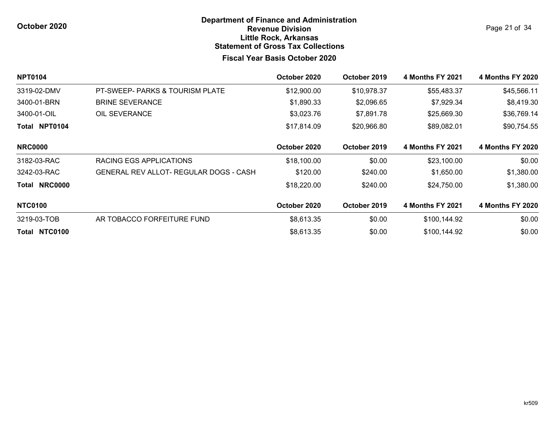Page 21 of 34

| <b>NPT0104</b>       |                                               | October 2020 | October 2019 | <b>4 Months FY 2021</b> | <b>4 Months FY 2020</b> |
|----------------------|-----------------------------------------------|--------------|--------------|-------------------------|-------------------------|
| 3319-02-DMV          | PT-SWEEP- PARKS & TOURISM PLATE               | \$12,900.00  | \$10,978.37  | \$55,483.37             | \$45,566.11             |
| 3400-01-BRN          | <b>BRINE SEVERANCE</b>                        | \$1,890.33   | \$2,096.65   | \$7,929.34              | \$8,419.30              |
| 3400-01-OIL          | OIL SEVERANCE                                 | \$3,023.76   | \$7,891.78   | \$25,669.30             | \$36,769.14             |
| <b>Total NPT0104</b> |                                               | \$17,814.09  | \$20,966.80  | \$89,082.01             | \$90,754.55             |
| <b>NRC0000</b>       |                                               | October 2020 | October 2019 | <b>4 Months FY 2021</b> | <b>4 Months FY 2020</b> |
| 3182-03-RAC          | RACING EGS APPLICATIONS                       | \$18,100.00  | \$0.00       | \$23,100.00             | \$0.00                  |
| 3242-03-RAC          | <b>GENERAL REV ALLOT- REGULAR DOGS - CASH</b> | \$120.00     | \$240.00     | \$1,650.00              | \$1,380.00              |
| Total NRC0000        |                                               | \$18,220.00  | \$240.00     | \$24,750.00             | \$1,380.00              |
| <b>NTC0100</b>       |                                               | October 2020 | October 2019 | <b>4 Months FY 2021</b> | <b>4 Months FY 2020</b> |
| 3219-03-TOB          | AR TOBACCO FORFEITURE FUND                    | \$8,613.35   | \$0.00       | \$100,144.92            | \$0.00                  |
| Total NTC0100        |                                               | \$8,613.35   | \$0.00       | \$100,144.92            | \$0.00                  |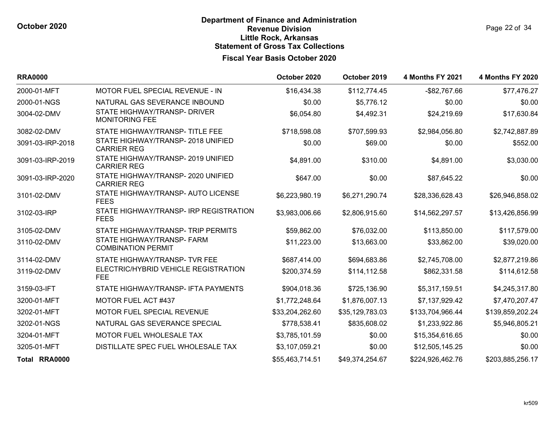| <b>RRA0000</b>   |                                                         | October 2020    | October 2019    | <b>4 Months FY 2021</b> | <b>4 Months FY 2020</b> |
|------------------|---------------------------------------------------------|-----------------|-----------------|-------------------------|-------------------------|
| 2000-01-MFT      | MOTOR FUEL SPECIAL REVENUE - IN                         | \$16,434.38     | \$112,774.45    | $-$ \$82,767.66         | \$77,476.27             |
| 2000-01-NGS      | NATURAL GAS SEVERANCE INBOUND                           | \$0.00          | \$5,776.12      | \$0.00                  | \$0.00                  |
| 3004-02-DMV      | STATE HIGHWAY/TRANSP- DRIVER<br><b>MONITORING FEE</b>   | \$6,054.80      | \$4,492.31      | \$24,219.69             | \$17,630.84             |
| 3082-02-DMV      | STATE HIGHWAY/TRANSP-TITLE FEE                          | \$718,598.08    | \$707,599.93    | \$2,984,056.80          | \$2,742,887.89          |
| 3091-03-IRP-2018 | STATE HIGHWAY/TRANSP-2018 UNIFIED<br><b>CARRIER REG</b> | \$0.00          | \$69.00         | \$0.00                  | \$552.00                |
| 3091-03-IRP-2019 | STATE HIGHWAY/TRANSP-2019 UNIFIED<br><b>CARRIER REG</b> | \$4,891.00      | \$310.00        | \$4,891.00              | \$3,030.00              |
| 3091-03-IRP-2020 | STATE HIGHWAY/TRANSP-2020 UNIFIED<br><b>CARRIER REG</b> | \$647.00        | \$0.00          | \$87,645.22             | \$0.00                  |
| 3101-02-DMV      | STATE HIGHWAY/TRANSP- AUTO LICENSE<br><b>FEES</b>       | \$6,223,980.19  | \$6,271,290.74  | \$28,336,628.43         | \$26,946,858.02         |
| 3102-03-IRP      | STATE HIGHWAY/TRANSP- IRP REGISTRATION<br><b>FEES</b>   | \$3,983,006.66  | \$2,806,915.60  | \$14,562,297.57         | \$13,426,856.99         |
| 3105-02-DMV      | STATE HIGHWAY/TRANSP-TRIP PERMITS                       | \$59,862.00     | \$76,032.00     | \$113,850.00            | \$117,579.00            |
| 3110-02-DMV      | STATE HIGHWAY/TRANSP- FARM<br><b>COMBINATION PERMIT</b> | \$11,223.00     | \$13,663.00     | \$33,862.00             | \$39,020.00             |
| 3114-02-DMV      | STATE HIGHWAY/TRANSP- TVR FEE                           | \$687,414.00    | \$694,683.86    | \$2,745,708.00          | \$2,877,219.86          |
| 3119-02-DMV      | ELECTRIC/HYBRID VEHICLE REGISTRATION<br><b>FEE</b>      | \$200,374.59    | \$114,112.58    | \$862,331.58            | \$114,612.58            |
| 3159-03-IFT      | STATE HIGHWAY/TRANSP- IFTA PAYMENTS                     | \$904,018.36    | \$725,136.90    | \$5,317,159.51          | \$4,245,317.80          |
| 3200-01-MFT      | MOTOR FUEL ACT #437                                     | \$1,772,248.64  | \$1,876,007.13  | \$7,137,929.42          | \$7,470,207.47          |
| 3202-01-MFT      | MOTOR FUEL SPECIAL REVENUE                              | \$33,204,262.60 | \$35,129,783.03 | \$133,704,966.44        | \$139,859,202.24        |
| 3202-01-NGS      | NATURAL GAS SEVERANCE SPECIAL                           | \$778,538.41    | \$835,608.02    | \$1,233,922.86          | \$5,946,805.21          |
| 3204-01-MFT      | MOTOR FUEL WHOLESALE TAX                                | \$3,785,101.59  | \$0.00          | \$15,354,616.65         | \$0.00                  |
| 3205-01-MFT      | DISTILLATE SPEC FUEL WHOLESALE TAX                      | \$3,107,059.21  | \$0.00          | \$12,505,145.25         | \$0.00                  |
| Total RRA0000    |                                                         | \$55,463,714.51 | \$49,374,254.67 | \$224,926,462.76        | \$203,885,256.17        |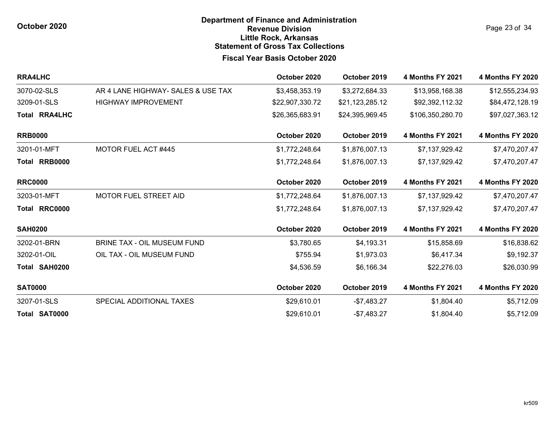**October 2020**

### **Fiscal Year Basis October 2020 Department of Finance and Administration Revenue Division Little Rock, Arkansas Statement of Gross Tax Collections**

Page 23 of 34

| <b>RRA4LHC</b>       |                                    | October 2020    | October 2019    | <b>4 Months FY 2021</b> | <b>4 Months FY 2020</b> |
|----------------------|------------------------------------|-----------------|-----------------|-------------------------|-------------------------|
| 3070-02-SLS          | AR 4 LANE HIGHWAY- SALES & USE TAX | \$3,458,353.19  | \$3,272,684.33  | \$13,958,168.38         | \$12,555,234.93         |
| 3209-01-SLS          | <b>HIGHWAY IMPROVEMENT</b>         | \$22,907,330.72 | \$21,123,285.12 | \$92,392,112.32         | \$84,472,128.19         |
| <b>Total RRA4LHC</b> |                                    | \$26,365,683.91 | \$24,395,969.45 | \$106,350,280.70        | \$97,027,363.12         |
| <b>RRB0000</b>       |                                    | October 2020    | October 2019    | <b>4 Months FY 2021</b> | <b>4 Months FY 2020</b> |
| 3201-01-MFT          | <b>MOTOR FUEL ACT #445</b>         | \$1,772,248.64  | \$1,876,007.13  | \$7,137,929.42          | \$7,470,207.47          |
| Total RRB0000        |                                    | \$1,772,248.64  | \$1,876,007.13  | \$7,137,929.42          | \$7,470,207.47          |
| <b>RRC0000</b>       |                                    | October 2020    | October 2019    | <b>4 Months FY 2021</b> | <b>4 Months FY 2020</b> |
| 3203-01-MFT          | MOTOR FUEL STREET AID              | \$1,772,248.64  | \$1,876,007.13  | \$7,137,929.42          | \$7,470,207.47          |
| Total RRC0000        |                                    | \$1,772,248.64  | \$1,876,007.13  | \$7,137,929.42          | \$7,470,207.47          |
| <b>SAH0200</b>       |                                    | October 2020    | October 2019    | <b>4 Months FY 2021</b> | <b>4 Months FY 2020</b> |
| 3202-01-BRN          | <b>BRINE TAX - OIL MUSEUM FUND</b> | \$3,780.65      | \$4,193.31      | \$15,858.69             | \$16,838.62             |
| 3202-01-OIL          | OIL TAX - OIL MUSEUM FUND          | \$755.94        | \$1,973.03      | \$6,417.34              | \$9,192.37              |
| Total SAH0200        |                                    | \$4,536.59      | \$6,166.34      | \$22,276.03             | \$26,030.99             |
| <b>SAT0000</b>       |                                    | October 2020    | October 2019    | <b>4 Months FY 2021</b> | <b>4 Months FY 2020</b> |
| 3207-01-SLS          | SPECIAL ADDITIONAL TAXES           | \$29,610.01     | $-$7,483.27$    | \$1,804.40              | \$5,712.09              |
| Total SAT0000        |                                    | \$29,610.01     | $-$7,483.27$    | \$1,804.40              | \$5,712.09              |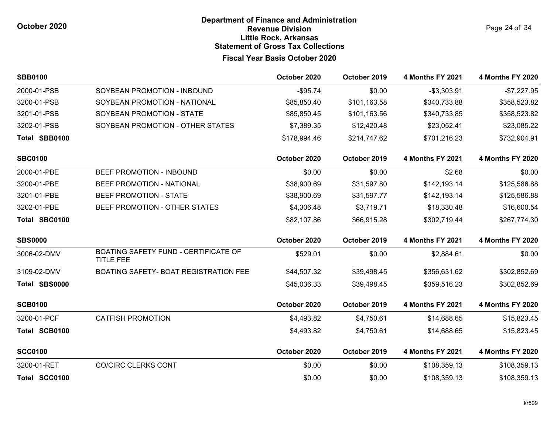Page 24 of 34

| <b>SBB0100</b> |                                                          | October 2020 | October 2019 | <b>4 Months FY 2021</b> | <b>4 Months FY 2020</b> |
|----------------|----------------------------------------------------------|--------------|--------------|-------------------------|-------------------------|
| 2000-01-PSB    | SOYBEAN PROMOTION - INBOUND                              | $-$ \$95.74  | \$0.00       | $-$3,303.91$            | $-$7,227.95$            |
| 3200-01-PSB    | SOYBEAN PROMOTION - NATIONAL                             | \$85,850.40  | \$101,163.58 | \$340,733.88            | \$358,523.82            |
| 3201-01-PSB    | SOYBEAN PROMOTION - STATE                                | \$85,850.45  | \$101,163.56 | \$340,733.85            | \$358,523.82            |
| 3202-01-PSB    | SOYBEAN PROMOTION - OTHER STATES                         | \$7,389.35   | \$12,420.48  | \$23,052.41             | \$23,085.22             |
| Total SBB0100  |                                                          | \$178,994.46 | \$214,747.62 | \$701,216.23            | \$732,904.91            |
| <b>SBC0100</b> |                                                          | October 2020 | October 2019 | <b>4 Months FY 2021</b> | <b>4 Months FY 2020</b> |
| 2000-01-PBE    | BEEF PROMOTION - INBOUND                                 | \$0.00       | \$0.00       | \$2.68                  | \$0.00                  |
| 3200-01-PBE    | BEEF PROMOTION - NATIONAL                                | \$38,900.69  | \$31,597.80  | \$142,193.14            | \$125,586.88            |
| 3201-01-PBE    | BEEF PROMOTION - STATE                                   | \$38,900.69  | \$31,597.77  | \$142,193.14            | \$125,586.88            |
| 3202-01-PBE    | BEEF PROMOTION - OTHER STATES                            | \$4,306.48   | \$3,719.71   | \$18,330.48             | \$16,600.54             |
| Total SBC0100  |                                                          | \$82,107.86  | \$66,915.28  | \$302,719.44            | \$267,774.30            |
| <b>SBS0000</b> |                                                          | October 2020 | October 2019 | <b>4 Months FY 2021</b> | <b>4 Months FY 2020</b> |
| 3006-02-DMV    | BOATING SAFETY FUND - CERTIFICATE OF<br><b>TITLE FEE</b> | \$529.01     | \$0.00       | \$2,884.61              | \$0.00                  |
| 3109-02-DMV    | BOATING SAFETY- BOAT REGISTRATION FEE                    | \$44,507.32  | \$39,498.45  | \$356,631.62            | \$302,852.69            |
| Total SBS0000  |                                                          | \$45,036.33  | \$39,498.45  | \$359,516.23            | \$302,852.69            |
| <b>SCB0100</b> |                                                          | October 2020 | October 2019 | <b>4 Months FY 2021</b> | <b>4 Months FY 2020</b> |
| 3200-01-PCF    | <b>CATFISH PROMOTION</b>                                 | \$4,493.82   | \$4,750.61   | \$14,688.65             | \$15,823.45             |
| Total SCB0100  |                                                          | \$4,493.82   | \$4,750.61   | \$14,688.65             | \$15,823.45             |
| <b>SCC0100</b> |                                                          | October 2020 | October 2019 | <b>4 Months FY 2021</b> | <b>4 Months FY 2020</b> |
| 3200-01-RET    | <b>CO/CIRC CLERKS CONT</b>                               | \$0.00       | \$0.00       | \$108,359.13            | \$108,359.13            |
| Total SCC0100  |                                                          | \$0.00       | \$0.00       | \$108,359.13            | \$108,359.13            |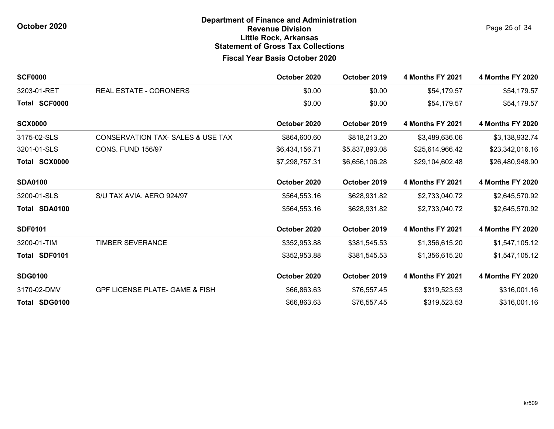Page 25 of 34

| <b>SCF0000</b> |                                           | October 2020   | October 2019   | <b>4 Months FY 2021</b> | <b>4 Months FY 2020</b> |
|----------------|-------------------------------------------|----------------|----------------|-------------------------|-------------------------|
| 3203-01-RET    | REAL ESTATE - CORONERS                    | \$0.00         | \$0.00         | \$54,179.57             | \$54,179.57             |
| Total SCF0000  |                                           | \$0.00         | \$0.00         | \$54,179.57             | \$54,179.57             |
| <b>SCX0000</b> |                                           | October 2020   | October 2019   | <b>4 Months FY 2021</b> | <b>4 Months FY 2020</b> |
| 3175-02-SLS    | CONSERVATION TAX- SALES & USE TAX         | \$864,600.60   | \$818,213.20   | \$3,489,636.06          | \$3,138,932.74          |
| 3201-01-SLS    | <b>CONS. FUND 156/97</b>                  | \$6,434,156.71 | \$5,837,893.08 | \$25,614,966.42         | \$23,342,016.16         |
| Total SCX0000  |                                           | \$7,298,757.31 | \$6,656,106.28 | \$29,104,602.48         | \$26,480,948.90         |
| <b>SDA0100</b> |                                           | October 2020   | October 2019   | <b>4 Months FY 2021</b> | <b>4 Months FY 2020</b> |
| 3200-01-SLS    | S/U TAX AVIA. AERO 924/97                 | \$564,553.16   | \$628,931.82   | \$2,733,040.72          | \$2,645,570.92          |
| Total SDA0100  |                                           | \$564,553.16   | \$628,931.82   | \$2,733,040.72          | \$2,645,570.92          |
| <b>SDF0101</b> |                                           | October 2020   | October 2019   | <b>4 Months FY 2021</b> | <b>4 Months FY 2020</b> |
| 3200-01-TIM    | <b>TIMBER SEVERANCE</b>                   | \$352,953.88   | \$381,545.53   | \$1,356,615.20          | \$1,547,105.12          |
| Total SDF0101  |                                           | \$352,953.88   | \$381,545.53   | \$1,356,615.20          | \$1,547,105.12          |
| <b>SDG0100</b> |                                           | October 2020   | October 2019   | <b>4 Months FY 2021</b> | <b>4 Months FY 2020</b> |
| 3170-02-DMV    | <b>GPF LICENSE PLATE- GAME &amp; FISH</b> | \$66,863.63    | \$76,557.45    | \$319,523.53            | \$316,001.16            |
| Total SDG0100  |                                           | \$66,863.63    | \$76,557.45    | \$319,523.53            | \$316,001.16            |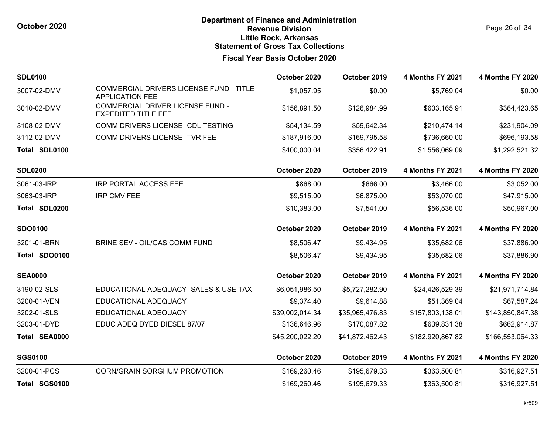Page 26 of 34

| <b>SDL0100</b> |                                                                   | October 2020    | October 2019    | <b>4 Months FY 2021</b> | <b>4 Months FY 2020</b> |
|----------------|-------------------------------------------------------------------|-----------------|-----------------|-------------------------|-------------------------|
| 3007-02-DMV    | COMMERCIAL DRIVERS LICENSE FUND - TITLE<br><b>APPLICATION FEE</b> | \$1,057.95      | \$0.00          | \$5,769.04              | \$0.00                  |
| 3010-02-DMV    | COMMERCIAL DRIVER LICENSE FUND -<br><b>EXPEDITED TITLE FEE</b>    | \$156,891.50    | \$126,984.99    | \$603,165.91            | \$364,423.65            |
| 3108-02-DMV    | COMM DRIVERS LICENSE- CDL TESTING                                 | \$54,134.59     | \$59,642.34     | \$210,474.14            | \$231,904.09            |
| 3112-02-DMV    | COMM DRIVERS LICENSE- TVR FEE                                     | \$187,916.00    | \$169,795.58    | \$736,660.00            | \$696,193.58            |
| Total SDL0100  |                                                                   | \$400,000.04    | \$356,422.91    | \$1,556,069.09          | \$1,292,521.32          |
| <b>SDL0200</b> |                                                                   | October 2020    | October 2019    | <b>4 Months FY 2021</b> | <b>4 Months FY 2020</b> |
| 3061-03-IRP    | <b>IRP PORTAL ACCESS FEE</b>                                      | \$868.00        | \$666.00        | \$3,466.00              | \$3,052.00              |
| 3063-03-IRP    | <b>IRP CMV FEE</b>                                                | \$9,515.00      | \$6,875.00      | \$53,070.00             | \$47,915.00             |
| Total SDL0200  |                                                                   | \$10,383.00     | \$7,541.00      | \$56,536.00             | \$50,967.00             |
| <b>SDO0100</b> |                                                                   | October 2020    | October 2019    | <b>4 Months FY 2021</b> | <b>4 Months FY 2020</b> |
| 3201-01-BRN    | BRINE SEV - OIL/GAS COMM FUND                                     | \$8,506.47      | \$9,434.95      | \$35,682.06             | \$37,886.90             |
| Total SDO0100  |                                                                   | \$8,506.47      | \$9,434.95      | \$35,682.06             | \$37,886.90             |
| <b>SEA0000</b> |                                                                   | October 2020    | October 2019    | <b>4 Months FY 2021</b> | <b>4 Months FY 2020</b> |
| 3190-02-SLS    | EDUCATIONAL ADEQUACY- SALES & USE TAX                             | \$6,051,986.50  | \$5,727,282.90  | \$24,426,529.39         | \$21,971,714.84         |
| 3200-01-VEN    | EDUCATIONAL ADEQUACY                                              | \$9,374.40      | \$9,614.88      | \$51,369.04             | \$67,587.24             |
| 3202-01-SLS    | EDUCATIONAL ADEQUACY                                              | \$39,002,014.34 | \$35,965,476.83 | \$157,803,138.01        | \$143,850,847.38        |
| 3203-01-DYD    | EDUC ADEQ DYED DIESEL 87/07                                       | \$136,646.96    | \$170,087.82    | \$639,831.38            | \$662,914.87            |
| Total SEA0000  |                                                                   | \$45,200,022.20 | \$41,872,462.43 | \$182,920,867.82        | \$166,553,064.33        |
| <b>SGS0100</b> |                                                                   | October 2020    | October 2019    | <b>4 Months FY 2021</b> | <b>4 Months FY 2020</b> |
| 3200-01-PCS    | <b>CORN/GRAIN SORGHUM PROMOTION</b>                               | \$169,260.46    | \$195,679.33    | \$363,500.81            | \$316,927.51            |
| Total SGS0100  |                                                                   | \$169,260.46    | \$195,679.33    | \$363,500.81            | \$316,927.51            |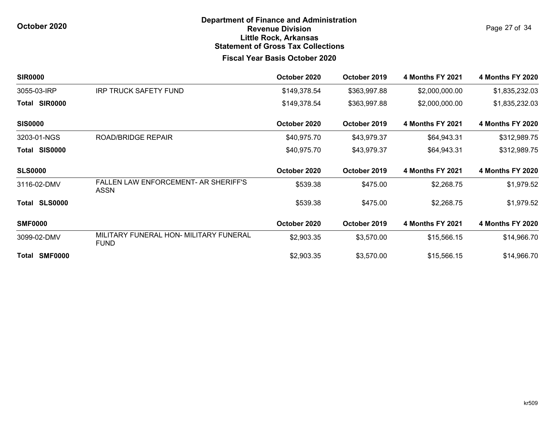Page 27 of 34

| <b>SIR0000</b>          |                                                            | October 2020 | October 2019 | <b>4 Months FY 2021</b> | <b>4 Months FY 2020</b> |
|-------------------------|------------------------------------------------------------|--------------|--------------|-------------------------|-------------------------|
| 3055-03-IRP             | <b>IRP TRUCK SAFETY FUND</b>                               | \$149,378.54 | \$363,997.88 | \$2,000,000.00          | \$1,835,232.03          |
| Total SIR0000           |                                                            | \$149,378.54 | \$363,997.88 | \$2,000,000.00          | \$1,835,232.03          |
| <b>SIS0000</b>          |                                                            | October 2020 | October 2019 | <b>4 Months FY 2021</b> | <b>4 Months FY 2020</b> |
| 3203-01-NGS             | <b>ROAD/BRIDGE REPAIR</b>                                  | \$40,975.70  | \$43,979.37  | \$64,943.31             | \$312,989.75            |
| <b>SIS0000</b><br>Total |                                                            | \$40,975.70  | \$43,979.37  | \$64,943.31             | \$312,989.75            |
| <b>SLS0000</b>          |                                                            | October 2020 | October 2019 | <b>4 Months FY 2021</b> | <b>4 Months FY 2020</b> |
| 3116-02-DMV             | <b>FALLEN LAW ENFORCEMENT- AR SHERIFF'S</b><br><b>ASSN</b> | \$539.38     | \$475.00     | \$2,268.75              | \$1,979.52              |
| <b>SLS0000</b><br>Total |                                                            | \$539.38     | \$475.00     | \$2,268.75              | \$1,979.52              |
| <b>SMF0000</b>          |                                                            | October 2020 | October 2019 | <b>4 Months FY 2021</b> | <b>4 Months FY 2020</b> |
| 3099-02-DMV             | MILITARY FUNERAL HON- MILITARY FUNERAL<br><b>FUND</b>      | \$2,903.35   | \$3,570.00   | \$15,566.15             | \$14,966.70             |
| Total SMF0000           |                                                            | \$2,903.35   | \$3,570.00   | \$15,566.15             | \$14,966.70             |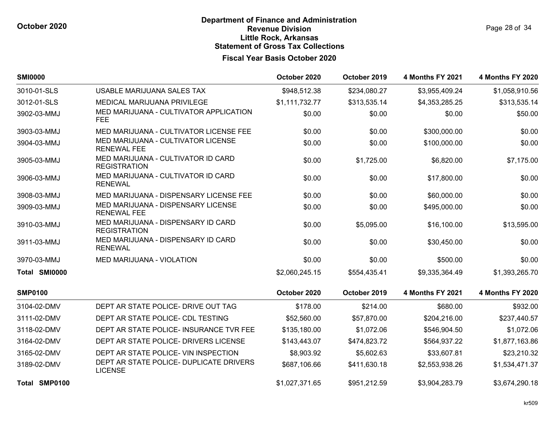| Page 28 of 34 |  |  |
|---------------|--|--|
|               |  |  |

| <b>SMI0000</b> |                                                           | October 2020   | October 2019 | <b>4 Months FY 2021</b> | <b>4 Months FY 2020</b> |
|----------------|-----------------------------------------------------------|----------------|--------------|-------------------------|-------------------------|
| 3010-01-SLS    | USABLE MARIJUANA SALES TAX                                | \$948,512.38   | \$234,080.27 | \$3,955,409.24          | \$1,058,910.56          |
| 3012-01-SLS    | MEDICAL MARIJUANA PRIVILEGE                               | \$1,111,732.77 | \$313,535.14 | \$4,353,285.25          | \$313,535.14            |
| 3902-03-MMJ    | MED MARIJUANA - CULTIVATOR APPLICATION<br><b>FEE</b>      | \$0.00         | \$0.00       | \$0.00                  | \$50.00                 |
| 3903-03-MMJ    | MED MARIJUANA - CULTIVATOR LICENSE FEE                    | \$0.00         | \$0.00       | \$300,000.00            | \$0.00                  |
| 3904-03-MMJ    | MED MARIJUANA - CULTIVATOR LICENSE<br><b>RENEWAL FEE</b>  | \$0.00         | \$0.00       | \$100,000.00            | \$0.00                  |
| 3905-03-MMJ    | MED MARIJUANA - CULTIVATOR ID CARD<br><b>REGISTRATION</b> | \$0.00         | \$1,725.00   | \$6,820.00              | \$7,175.00              |
| 3906-03-MMJ    | MED MARIJUANA - CULTIVATOR ID CARD<br><b>RENEWAL</b>      | \$0.00         | \$0.00       | \$17,800.00             | \$0.00                  |
| 3908-03-MMJ    | MED MARIJUANA - DISPENSARY LICENSE FEE                    | \$0.00         | \$0.00       | \$60,000.00             | \$0.00                  |
| 3909-03-MMJ    | MED MARIJUANA - DISPENSARY LICENSE<br><b>RENEWAL FEE</b>  | \$0.00         | \$0.00       | \$495,000.00            | \$0.00                  |
| 3910-03-MMJ    | MED MARIJUANA - DISPENSARY ID CARD<br><b>REGISTRATION</b> | \$0.00         | \$5,095.00   | \$16,100.00             | \$13,595.00             |
| 3911-03-MMJ    | MED MARIJUANA - DISPENSARY ID CARD<br><b>RENEWAL</b>      | \$0.00         | \$0.00       | \$30,450.00             | \$0.00                  |
| 3970-03-MMJ    | <b>MED MARIJUANA - VIOLATION</b>                          | \$0.00         | \$0.00       | \$500.00                | \$0.00                  |
| Total SMI0000  |                                                           | \$2,060,245.15 | \$554,435.41 | \$9,335,364.49          | \$1,393,265.70          |
| <b>SMP0100</b> |                                                           | October 2020   | October 2019 | <b>4 Months FY 2021</b> | <b>4 Months FY 2020</b> |
| 3104-02-DMV    | DEPT AR STATE POLICE- DRIVE OUT TAG                       | \$178.00       | \$214.00     | \$680.00                | \$932.00                |
| 3111-02-DMV    | DEPT AR STATE POLICE- CDL TESTING                         | \$52,560.00    | \$57,870.00  | \$204,216.00            | \$237,440.57            |
| 3118-02-DMV    | DEPT AR STATE POLICE- INSURANCE TVR FEE                   | \$135,180.00   | \$1,072.06   | \$546,904.50            | \$1,072.06              |
| 3164-02-DMV    | DEPT AR STATE POLICE- DRIVERS LICENSE                     | \$143,443.07   | \$474,823.72 | \$564,937.22            | \$1,877,163.86          |
| 3165-02-DMV    | DEPT AR STATE POLICE- VIN INSPECTION                      | \$8,903.92     | \$5,602.63   | \$33,607.81             | \$23,210.32             |
| 3189-02-DMV    | DEPT AR STATE POLICE- DUPLICATE DRIVERS<br><b>LICENSE</b> | \$687,106.66   | \$411,630.18 | \$2,553,938.26          | \$1,534,471.37          |
| Total SMP0100  |                                                           | \$1,027,371.65 | \$951,212.59 | \$3,904,283.79          | \$3,674,290.18          |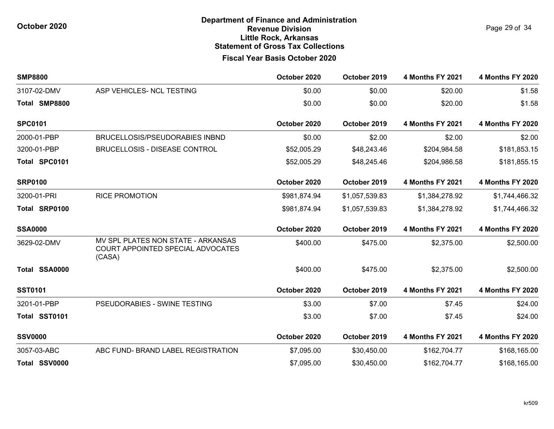Page 29 of 34

| <b>SMP8800</b> |                                                                                   | October 2020 | October 2019   | 4 Months FY 2021        | <b>4 Months FY 2020</b> |
|----------------|-----------------------------------------------------------------------------------|--------------|----------------|-------------------------|-------------------------|
| 3107-02-DMV    | ASP VEHICLES- NCL TESTING                                                         | \$0.00       | \$0.00         | \$20.00                 | \$1.58                  |
| Total SMP8800  |                                                                                   | \$0.00       | \$0.00         | \$20.00                 | \$1.58                  |
| <b>SPC0101</b> |                                                                                   | October 2020 | October 2019   | 4 Months FY 2021        | <b>4 Months FY 2020</b> |
| 2000-01-PBP    | <b>BRUCELLOSIS/PSEUDORABIES INBND</b>                                             | \$0.00       | \$2.00         | \$2.00                  | \$2.00                  |
| 3200-01-PBP    | <b>BRUCELLOSIS - DISEASE CONTROL</b>                                              | \$52,005.29  | \$48,243.46    | \$204,984.58            | \$181,853.15            |
| Total SPC0101  |                                                                                   | \$52,005.29  | \$48,245.46    | \$204,986.58            | \$181,855.15            |
| <b>SRP0100</b> |                                                                                   | October 2020 | October 2019   | <b>4 Months FY 2021</b> | <b>4 Months FY 2020</b> |
| 3200-01-PRI    | <b>RICE PROMOTION</b>                                                             | \$981,874.94 | \$1,057,539.83 | \$1,384,278.92          | \$1,744,466.32          |
| Total SRP0100  |                                                                                   | \$981,874.94 | \$1,057,539.83 | \$1,384,278.92          | \$1,744,466.32          |
| <b>SSA0000</b> |                                                                                   | October 2020 | October 2019   | 4 Months FY 2021        | <b>4 Months FY 2020</b> |
| 3629-02-DMV    | MV SPL PLATES NON STATE - ARKANSAS<br>COURT APPOINTED SPECIAL ADVOCATES<br>(CASA) | \$400.00     | \$475.00       | \$2,375.00              | \$2,500.00              |
| Total SSA0000  |                                                                                   | \$400.00     | \$475.00       | \$2,375.00              | \$2,500.00              |
| <b>SST0101</b> |                                                                                   | October 2020 | October 2019   | <b>4 Months FY 2021</b> | <b>4 Months FY 2020</b> |
| 3201-01-PBP    | PSEUDORABIES - SWINE TESTING                                                      | \$3.00       | \$7.00         | \$7.45                  | \$24.00                 |
| Total SST0101  |                                                                                   | \$3.00       | \$7.00         | \$7.45                  | \$24.00                 |
| <b>SSV0000</b> |                                                                                   | October 2020 | October 2019   | <b>4 Months FY 2021</b> | <b>4 Months FY 2020</b> |
| 3057-03-ABC    | ABC FUND- BRAND LABEL REGISTRATION                                                | \$7,095.00   | \$30,450.00    | \$162,704.77            | \$168,165.00            |
| Total SSV0000  |                                                                                   | \$7,095.00   | \$30,450.00    | \$162,704.77            | \$168,165.00            |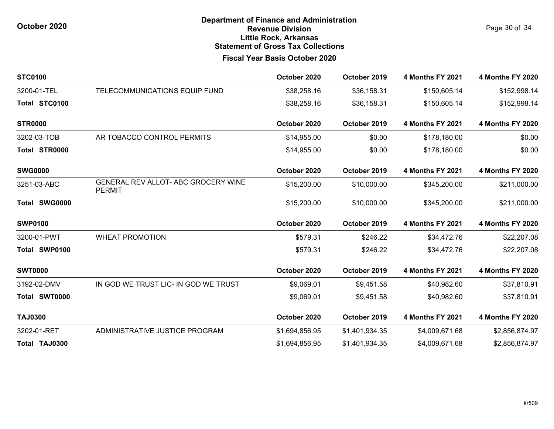Page 30 of 34

| <b>STC0100</b> |                                                             | October 2020   | October 2019   | <b>4 Months FY 2021</b> | <b>4 Months FY 2020</b> |
|----------------|-------------------------------------------------------------|----------------|----------------|-------------------------|-------------------------|
| 3200-01-TEL    | TELECOMMUNICATIONS EQUIP FUND                               | \$38,258.16    | \$36,158.31    | \$150,605.14            | \$152,998.14            |
| Total STC0100  |                                                             | \$38,258.16    | \$36,158.31    | \$150,605.14            | \$152,998.14            |
| <b>STR0000</b> |                                                             | October 2020   | October 2019   | 4 Months FY 2021        | <b>4 Months FY 2020</b> |
| 3202-03-TOB    | AR TOBACCO CONTROL PERMITS                                  | \$14,955.00    | \$0.00         | \$178,180.00            | \$0.00                  |
| Total STR0000  |                                                             | \$14,955.00    | \$0.00         | \$178,180.00            | \$0.00                  |
| <b>SWG0000</b> |                                                             | October 2020   | October 2019   | 4 Months FY 2021        | <b>4 Months FY 2020</b> |
| 3251-03-ABC    | <b>GENERAL REV ALLOT- ABC GROCERY WINE</b><br><b>PERMIT</b> | \$15,200.00    | \$10,000.00    | \$345,200.00            | \$211,000.00            |
| Total SWG0000  |                                                             | \$15,200.00    | \$10,000.00    | \$345,200.00            | \$211,000.00            |
| <b>SWP0100</b> |                                                             | October 2020   | October 2019   | <b>4 Months FY 2021</b> | <b>4 Months FY 2020</b> |
| 3200-01-PWT    | <b>WHEAT PROMOTION</b>                                      | \$579.31       | \$246.22       | \$34,472.76             | \$22,207.08             |
| Total SWP0100  |                                                             | \$579.31       | \$246.22       | \$34,472.76             | \$22,207.08             |
| <b>SWT0000</b> |                                                             | October 2020   | October 2019   | <b>4 Months FY 2021</b> | <b>4 Months FY 2020</b> |
| 3192-02-DMV    | IN GOD WE TRUST LIC- IN GOD WE TRUST                        | \$9,069.01     | \$9,451.58     | \$40,982.60             | \$37,810.91             |
| Total SWT0000  |                                                             | \$9,069.01     | \$9,451.58     | \$40,982.60             | \$37,810.91             |
| <b>TAJ0300</b> |                                                             | October 2020   | October 2019   | <b>4 Months FY 2021</b> | <b>4 Months FY 2020</b> |
| 3202-01-RET    | ADMINISTRATIVE JUSTICE PROGRAM                              | \$1,694,856.95 | \$1,401,934.35 | \$4,009,671.68          | \$2,856,874.97          |
| Total TAJ0300  |                                                             | \$1,694,856.95 | \$1,401,934.35 | \$4,009,671.68          | \$2,856,874.97          |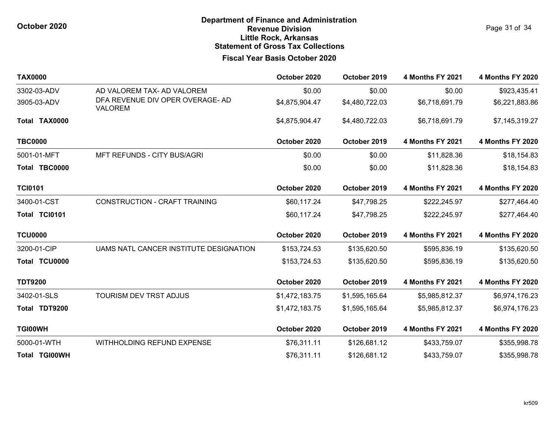| <b>TAX0000</b>       |                                                    | October 2020   | October 2019   | <b>4 Months FY 2021</b> | <b>4 Months FY 2020</b> |
|----------------------|----------------------------------------------------|----------------|----------------|-------------------------|-------------------------|
| 3302-03-ADV          | AD VALOREM TAX- AD VALOREM                         | \$0.00         | \$0.00         | \$0.00                  | \$923,435.41            |
| 3905-03-ADV          | DFA REVENUE DIV OPER OVERAGE- AD<br><b>VALOREM</b> | \$4,875,904.47 | \$4,480,722.03 | \$6,718,691.79          | \$6,221,883.86          |
| Total TAX0000        |                                                    | \$4,875,904.47 | \$4,480,722.03 | \$6,718,691.79          | \$7,145,319.27          |
| <b>TBC0000</b>       |                                                    | October 2020   | October 2019   | <b>4 Months FY 2021</b> | <b>4 Months FY 2020</b> |
| 5001-01-MFT          | MFT REFUNDS - CITY BUS/AGRI                        | \$0.00         | \$0.00         | \$11,828.36             | \$18,154.83             |
| Total TBC0000        |                                                    | \$0.00         | \$0.00         | \$11,828.36             | \$18,154.83             |
| <b>TCI0101</b>       |                                                    | October 2020   | October 2019   | <b>4 Months FY 2021</b> | <b>4 Months FY 2020</b> |
| 3400-01-CST          | CONSTRUCTION - CRAFT TRAINING                      | \$60,117.24    | \$47,798.25    | \$222,245.97            | \$277,464.40            |
| Total TCI0101        |                                                    | \$60,117.24    | \$47,798.25    | \$222,245.97            | \$277,464.40            |
| <b>TCU0000</b>       |                                                    | October 2020   | October 2019   | <b>4 Months FY 2021</b> | <b>4 Months FY 2020</b> |
| 3200-01-CIP          | UAMS NATL CANCER INSTITUTE DESIGNATION             | \$153,724.53   | \$135,620.50   | \$595,836.19            | \$135,620.50            |
| Total TCU0000        |                                                    | \$153,724.53   | \$135,620.50   | \$595,836.19            | \$135,620.50            |
| <b>TDT9200</b>       |                                                    | October 2020   | October 2019   | <b>4 Months FY 2021</b> | <b>4 Months FY 2020</b> |
| 3402-01-SLS          | TOURISM DEV TRST ADJUS                             | \$1,472,183.75 | \$1,595,165.64 | \$5,985,812.37          | \$6,974,176.23          |
| Total TDT9200        |                                                    | \$1,472,183.75 | \$1,595,165.64 | \$5,985,812.37          | \$6,974,176.23          |
| <b>TGI00WH</b>       |                                                    | October 2020   | October 2019   | <b>4 Months FY 2021</b> | <b>4 Months FY 2020</b> |
| 5000-01-WTH          | <b>WITHHOLDING REFUND EXPENSE</b>                  | \$76,311.11    | \$126,681.12   | \$433,759.07            | \$355,998.78            |
| <b>Total TGI00WH</b> |                                                    | \$76,311.11    | \$126,681.12   | \$433,759.07            | \$355,998.78            |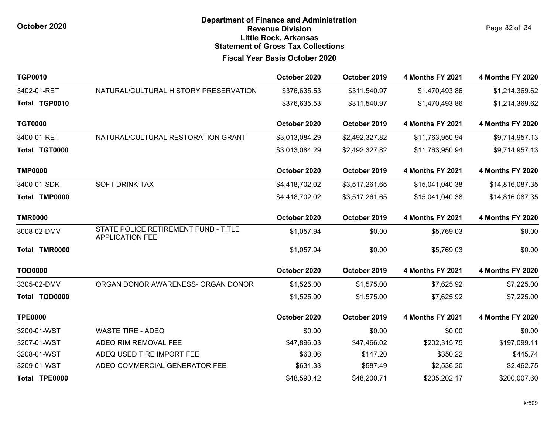Page 32 of 34

| <b>TGP0010</b> |                                                                | October 2020   | October 2019   | <b>4 Months FY 2021</b> | <b>4 Months FY 2020</b> |
|----------------|----------------------------------------------------------------|----------------|----------------|-------------------------|-------------------------|
| 3402-01-RET    | NATURAL/CULTURAL HISTORY PRESERVATION                          | \$376,635.53   | \$311,540.97   | \$1,470,493.86          | \$1,214,369.62          |
| Total TGP0010  |                                                                | \$376,635.53   | \$311,540.97   | \$1,470,493.86          | \$1,214,369.62          |
| <b>TGT0000</b> |                                                                | October 2020   | October 2019   | <b>4 Months FY 2021</b> | <b>4 Months FY 2020</b> |
| 3400-01-RET    | NATURAL/CULTURAL RESTORATION GRANT                             | \$3,013,084.29 | \$2,492,327.82 | \$11,763,950.94         | \$9,714,957.13          |
| Total TGT0000  |                                                                | \$3,013,084.29 | \$2,492,327.82 | \$11,763,950.94         | \$9,714,957.13          |
| <b>TMP0000</b> |                                                                | October 2020   | October 2019   | <b>4 Months FY 2021</b> | <b>4 Months FY 2020</b> |
| 3400-01-SDK    | <b>SOFT DRINK TAX</b>                                          | \$4,418,702.02 | \$3,517,261.65 | \$15,041,040.38         | \$14,816,087.35         |
| Total TMP0000  |                                                                | \$4,418,702.02 | \$3,517,261.65 | \$15,041,040.38         | \$14,816,087.35         |
| <b>TMR0000</b> |                                                                | October 2020   | October 2019   | <b>4 Months FY 2021</b> | <b>4 Months FY 2020</b> |
| 3008-02-DMV    | STATE POLICE RETIREMENT FUND - TITLE<br><b>APPLICATION FEE</b> | \$1,057.94     | \$0.00         | \$5,769.03              | \$0.00                  |
| Total TMR0000  |                                                                | \$1,057.94     | \$0.00         | \$5,769.03              | \$0.00                  |
| <b>TOD0000</b> |                                                                | October 2020   | October 2019   | <b>4 Months FY 2021</b> | <b>4 Months FY 2020</b> |
| 3305-02-DMV    | ORGAN DONOR AWARENESS- ORGAN DONOR                             | \$1,525.00     | \$1,575.00     | \$7,625.92              | \$7,225.00              |
| Total TOD0000  |                                                                | \$1,525.00     | \$1,575.00     | \$7,625.92              | \$7,225.00              |
| <b>TPE0000</b> |                                                                | October 2020   | October 2019   | <b>4 Months FY 2021</b> | <b>4 Months FY 2020</b> |
| 3200-01-WST    | <b>WASTE TIRE - ADEQ</b>                                       | \$0.00         | \$0.00         | \$0.00                  | \$0.00                  |
| 3207-01-WST    | ADEQ RIM REMOVAL FEE                                           | \$47,896.03    | \$47,466.02    | \$202,315.75            | \$197,099.11            |
| 3208-01-WST    | ADEQ USED TIRE IMPORT FEE                                      | \$63.06        | \$147.20       | \$350.22                | \$445.74                |
| 3209-01-WST    | ADEQ COMMERCIAL GENERATOR FEE                                  | \$631.33       | \$587.49       | \$2,536.20              | \$2,462.75              |
| Total TPE0000  |                                                                | \$48,590.42    | \$48,200.71    | \$205,202.17            | \$200,007.60            |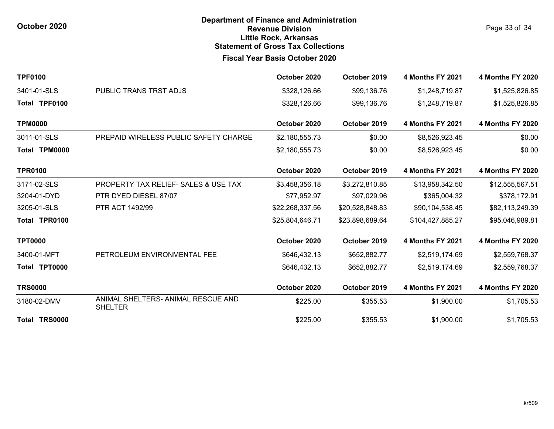Page 33 of 34

| <b>TPF0100</b> |                                                      | October 2020    | October 2019    | <b>4 Months FY 2021</b> | 4 Months FY 2020        |
|----------------|------------------------------------------------------|-----------------|-----------------|-------------------------|-------------------------|
| 3401-01-SLS    | PUBLIC TRANS TRST ADJS                               | \$328,126.66    | \$99,136.76     | \$1,248,719.87          | \$1,525,826.85          |
| Total TPF0100  |                                                      | \$328,126.66    | \$99,136.76     | \$1,248,719.87          | \$1,525,826.85          |
| <b>TPM0000</b> |                                                      | October 2020    | October 2019    | <b>4 Months FY 2021</b> | <b>4 Months FY 2020</b> |
| 3011-01-SLS    | PREPAID WIRELESS PUBLIC SAFETY CHARGE                | \$2,180,555.73  | \$0.00          | \$8,526,923.45          | \$0.00                  |
| Total TPM0000  |                                                      | \$2,180,555.73  | \$0.00          | \$8,526,923.45          | \$0.00                  |
| <b>TPR0100</b> |                                                      | October 2020    | October 2019    | <b>4 Months FY 2021</b> | <b>4 Months FY 2020</b> |
| 3171-02-SLS    | <b>PROPERTY TAX RELIEF- SALES &amp; USE TAX</b>      | \$3,458,356.18  | \$3,272,810.85  | \$13,958,342.50         | \$12,555,567.51         |
| 3204-01-DYD    | PTR DYED DIESEL 87/07                                | \$77,952.97     | \$97,029.96     | \$365,004.32            | \$378,172.91            |
| 3205-01-SLS    | PTR ACT 1492/99                                      | \$22,268,337.56 | \$20,528,848.83 | \$90,104,538.45         | \$82,113,249.39         |
| Total TPR0100  |                                                      | \$25,804,646.71 | \$23,898,689.64 | \$104,427,885.27        | \$95,046,989.81         |
| <b>TPT0000</b> |                                                      | October 2020    | October 2019    | <b>4 Months FY 2021</b> | <b>4 Months FY 2020</b> |
| 3400-01-MFT    | PETROLEUM ENVIRONMENTAL FEE                          | \$646,432.13    | \$652,882.77    | \$2,519,174.69          | \$2,559,768.37          |
| Total TPT0000  |                                                      | \$646,432.13    | \$652,882.77    | \$2,519,174.69          | \$2,559,768.37          |
| <b>TRS0000</b> |                                                      | October 2020    | October 2019    | <b>4 Months FY 2021</b> | <b>4 Months FY 2020</b> |
| 3180-02-DMV    | ANIMAL SHELTERS- ANIMAL RESCUE AND<br><b>SHELTER</b> | \$225.00        | \$355.53        | \$1,900.00              | \$1,705.53              |
| Total TRS0000  |                                                      | \$225.00        | \$355.53        | \$1,900.00              | \$1,705.53              |